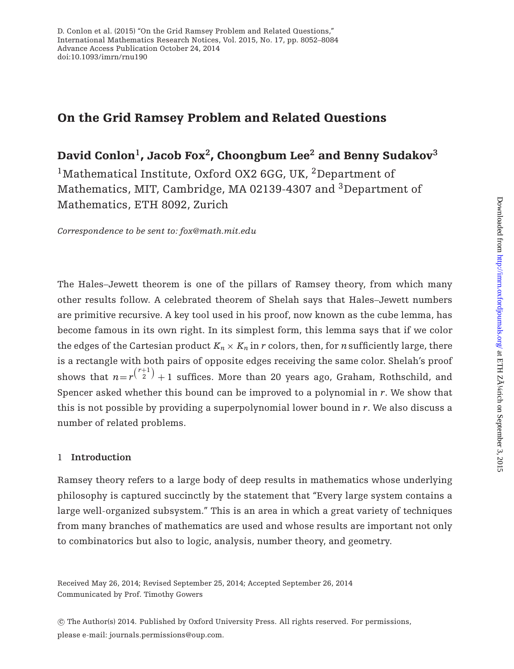# **On the Grid Ramsey Problem and Related Questions**

**David Conlon1, Jacob Fox2, Choongbum Lee<sup>2</sup> and Benny Sudakov<sup>3</sup>**

<sup>1</sup>Mathematical Institute, Oxford OX2 6GG, UK, <sup>2</sup>Department of Mathematics, MIT, Cambridge, MA 02139-4307 and <sup>3</sup>Department of Mathematics, ETH 8092, Zurich

*Correspondence to be sent to: fox@math.mit.edu*

The Hales–Jewett theorem is one of the pillars of Ramsey theory, from which many other results follow. A celebrated theorem of Shelah says that Hales–Jewett numbers are primitive recursive. A key tool used in his proof, now known as the cube lemma, has become famous in its own right. In its simplest form, this lemma says that if we color the edges of the Cartesian product  $K_n \times K_n$  in *r* colors, then, for *n* sufficiently large, there is a rectangle with both pairs of opposite edges receiving the same color. Shelah's proof shows that  $n = r^{\binom{r+1}{2}} + 1$  suffices. More than 20 years ago, Graham, Rothschild, and Spencer asked whether this bound can be improved to a polynomial in *r*. We show that this is not possible by providing a superpolynomial lower bound in *r*. We also discuss a number of related problems.

# 1 **Introduction**

Ramsey theory refers to a large body of deep results in mathematics whose underlying philosophy is captured succinctly by the statement that "Every large system contains a large well-organized subsystem." This is an area in which a great variety of techniques from many branches of mathematics are used and whose results are important not only to combinatorics but also to logic, analysis, number theory, and geometry.

Received May 26, 2014; Revised September 25, 2014; Accepted September 26, 2014 Communicated by Prof. Timothy Gowers

-c The Author(s) 2014. Published by Oxford University Press. All rights reserved. For permissions, please e-mail: journals.permissions@oup.com.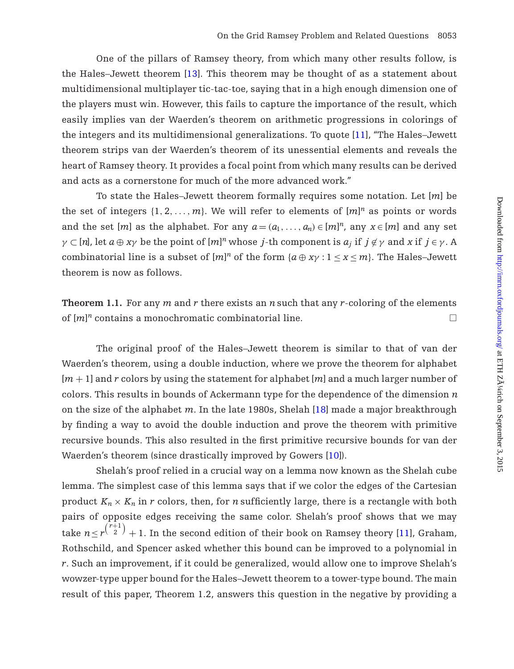One of the pillars of Ramsey theory, from which many other results follow, is the Hales–Jewett theorem [\[13\]](#page-31-0). This theorem may be thought of as a statement about multidimensional multiplayer tic-tac-toe, saying that in a high enough dimension one of the players must win. However, this fails to capture the importance of the result, which easily implies van der Waerden's theorem on arithmetic progressions in colorings of the integers and its multidimensional generalizations. To quote [\[11](#page-31-1)], "The Hales–Jewett theorem strips van der Waerden's theorem of its unessential elements and reveals the heart of Ramsey theory. It provides a focal point from which many results can be derived and acts as a cornerstone for much of the more advanced work."

To state the Hales–Jewett theorem formally requires some notation. Let [*m*] be the set of integers  $\{1, 2, ..., m\}$ . We will refer to elements of  $[m]^n$  as points or words and the set  $[m]$  as the alphabet. For any  $a = (a_1, \ldots, a_n) \in [m]^n$ , any  $x \in [m]$  and any set  $\gamma \subset [n]$ , let  $a \oplus x\gamma$  be the point of  $[m]^n$  whose *j*-th component is  $a_j$  if  $j \not\in \gamma$  and  $x$  if  $j \in \gamma$ . A combinatorial line is a subset of  $[m]^n$  of the form  $\{a \oplus x\gamma : 1 \le x \le m\}$ . The Hales–Jewett theorem is now as follows.

**Theorem 1.1.** For any *m* and *r* there exists an *n*such that any *r*-coloring of the elements of  $[m]^n$  contains a monochromatic combinatorial line.

The original proof of the Hales–Jewett theorem is similar to that of van der Waerden's theorem, using a double induction, where we prove the theorem for alphabet [*m* + 1] and *r* colors by using the statement for alphabet [*m*] and a much larger number of colors. This results in bounds of Ackermann type for the dependence of the dimension *n* on the size of the alphabet *m*. In the late 1980s, Shelah [\[18\]](#page-32-0) made a major breakthrough by finding a way to avoid the double induction and prove the theorem with primitive recursive bounds. This also resulted in the first primitive recursive bounds for van der Waerden's theorem (since drastically improved by Gowers [\[10\]](#page-31-2)).

Shelah's proof relied in a crucial way on a lemma now known as the Shelah cube lemma. The simplest case of this lemma says that if we color the edges of the Cartesian product  $K_n \times K_n$  in *r* colors, then, for *n* sufficiently large, there is a rectangle with both pairs of opposite edges receiving the same color. Shelah's proof shows that we may take  $n$   $\le$   $r^{r+1 \choose 2}$   $+$  1. In the second edition of their book on Ramsey theory [\[11](#page-31-1)], Graham, Rothschild, and Spencer asked whether this bound can be improved to a polynomial in *r*. Such an improvement, if it could be generalized, would allow one to improve Shelah's wowzer-type upper bound for the Hales–Jewett theorem to a tower-type bound. The main result of this paper, Theorem 1.2, answers this question in the negative by providing a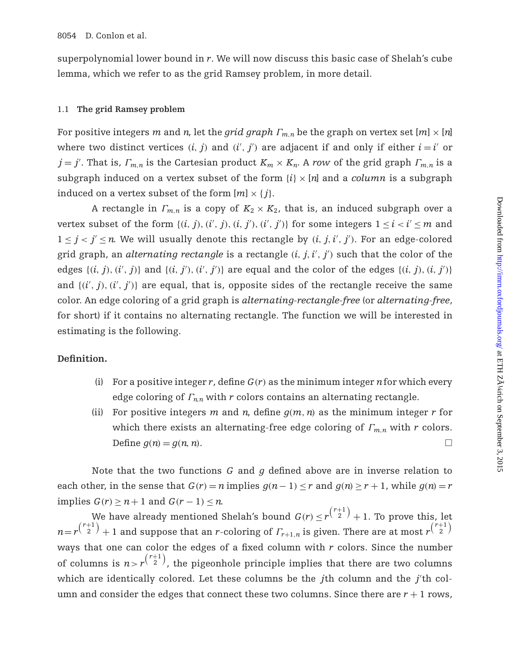superpolynomial lower bound in *r*. We will now discuss this basic case of Shelah's cube lemma, which we refer to as the grid Ramsey problem, in more detail.

## 1.1 **The grid Ramsey problem**

For positive integers *m* and *n*, let the *grid graph*  $\Gamma_{m,n}$  be the graph on vertex set  $[m] \times [n]$ where two distinct vertices  $(i, j)$  and  $(i', j')$  are adjacent if and only if either  $i = i'$  or  $j = j'$ . That is,  $\varGamma_{m,n}$  is the Cartesian product  $K_m \times K_n$ . A *row* of the grid graph  $\varGamma_{m,n}$  is a subgraph induced on a vertex subset of the form  $\{i\} \times [n]$  and a *column* is a subgraph induced on a vertex subset of the form  $[m] \times \{j\}$ .

A rectangle in  $\Gamma_{m,n}$  is a copy of  $K_2 \times K_2$ , that is, an induced subgraph over a vertex subset of the form  $\{(i, j), (i', j), (i, j'), (i', j')\}$  for some integers  $1 \le i < i' \le m$  and  $1 \leq j < j' \leq n$ . We will usually denote this rectangle by  $(i, j, i', j')$ . For an edge-colored grid graph, an *alternating rectangle* is a rectangle (*i*, *j*,*i* , *j* ) such that the color of the edges  $\{(i, j), (i', j)\}$  and  $\{(i, j'), (i', j')\}$  are equal and the color of the edges  $\{(i, j), (i, j')\}$ and  $\{(i', j), (i', j')\}$  are equal, that is, opposite sides of the rectangle receive the same color. An edge coloring of a grid graph is *alternating-rectangle-free* (or *alternating-free*, for short) if it contains no alternating rectangle. The function we will be interested in estimating is the following.

# **Definition.**

- (i) For a positive integer *r*, define  $G(r)$  as the minimum integer *n* for which every edge coloring of Γ*<sup>n</sup>*,*<sup>n</sup>* with *r* colors contains an alternating rectangle.
- (ii) For positive integers *m* and *n*, define  $g(m, n)$  as the minimum integer *r* for which there exists an alternating-free edge coloring of Γ*<sup>m</sup>*,*<sup>n</sup>* with *r* colors. Define  $g(n) = g(n, n)$ .

Note that the two functions *G* and *g* defined above are in inverse relation to each other, in the sense that  $G(r) = n$  implies  $g(n-1) \leq r$  and  $g(n) \geq r+1$ , while  $g(n) = r$ implies  $G(r) > n+1$  and  $G(r-1) < n$ .

We have already mentioned Shelah's bound  $G(r) \leq r^{\binom{r+1}{2}} + 1$ . To prove this, let  $n$  =  $r^{r+1 \choose 2}$  + 1 and suppose that an *r*-coloring of  $\varGamma_{r+1,n}$  is given. There are at most  $r^{r+1 \choose 2}$ ways that one can color the edges of a fixed column with *r* colors. Since the number of columns is  $n > r^{\binom{r+1}{2}}$ , the pigeonhole principle implies that there are two columns which are identically colored. Let these columns be the *j*th column and the *j'*th column and consider the edges that connect these two columns. Since there are  $r + 1$  rows,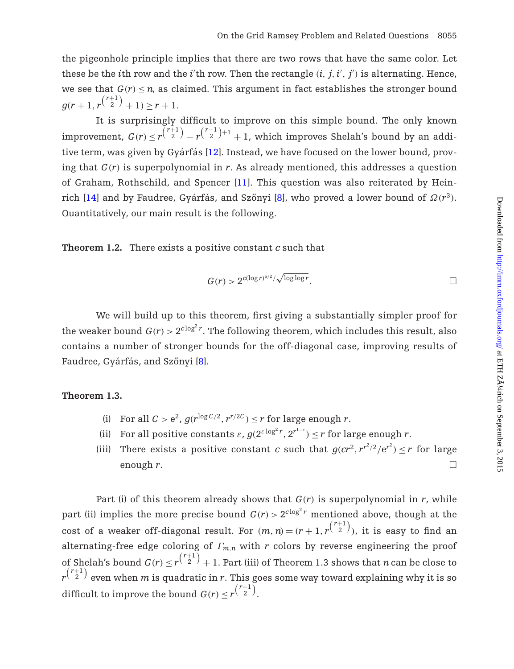the pigeonhole principle implies that there are two rows that have the same color. Let these be the *i*th row and the *i*'th row. Then the rectangle  $(i, j, i', j')$  is alternating. Hence, we see that  $G(r) \leq n$ , as claimed. This argument in fact establishes the stronger bound  $g(r+1,r^{\binom{r+1}{2}}+1) \geq r+1.$ 

It is surprisingly difficult to improve on this simple bound. The only known  $\text{improvement, } G(r) \leq r^{\binom{r+1}{2}} - r^{\binom{r-1}{2}+1} + 1, \text{ which improves Shelah's bound by an addi-1}.$ tive term, was given by Gyárfás  $[12]$  $[12]$ . Instead, we have focused on the lower bound, proving that *G*(*r*) is superpolynomial in *r*. As already mentioned, this addresses a question of Graham, Rothschild, and Spencer [\[11](#page-31-1)]. This question was also reiterated by Hein-rich [\[14\]](#page-31-4) and by Faudree, Gyárfás, and Szőnyi [[8](#page-31-5)], who proved a lower bound of  $\Omega(r^3)$ . Quantitatively, our main result is the following.

**Theorem 1.2.** There exists a positive constant *c* such that

$$
G(r) > 2^{c(\log r)^{5/2}/\sqrt{\log \log r}}.
$$

We will build up to this theorem, first giving a substantially simpler proof for the weaker bound  $G(r) > 2^{c \log^2 r}$ . The following theorem, which includes this result, also contains a number of stronger bounds for the off-diagonal case, improving results of Faudree, Gyárfás, and Szőnyi [[8](#page-31-5)].

## **Theorem 1.3.**

- (i) For all  $C > e^2$ ,  $g(r^{\log C/2}, r^{r/2C}) \le r$  for large enough *r*.
- (ii) For all positive constants  $\varepsilon$ ,  $g(2^{\varepsilon \log^2 r}, 2^{r^{1-\varepsilon}}) \leq r$  for large enough  $r$ .
- (iii) There exists a positive constant *c* such that  $g(cr^2, r^{r^2/2}/e^{r^2}) \le r$  for large enough  $r$ .  $\Box$

Part (i) of this theorem already shows that  $G(r)$  is superpolynomial in *r*, while part (ii) implies the more precise bound  $G(r) > 2^{c \log^2 r}$  mentioned above, though at the cost of a weaker off-diagonal result. For  $(m, n) = (r + 1, r^{{r + 1} \choose 2})$ , it is easy to find an alternating-free edge coloring of Γ*<sup>m</sup>*,*<sup>n</sup>* with *r* colors by reverse engineering the proof of Shelah's bound  $G(r) \leq r^{\binom{r+1}{2}}+1$ . Part (iii) of Theorem 1.3 shows that *n* can be close to  $r^{\binom{r+1}{2}}$  even when  $m$  is quadratic in  $r.$  This goes some way toward explaining why it is so difficult to improve the bound  $G(r) \le r^{\binom{r+1}{2}}$ .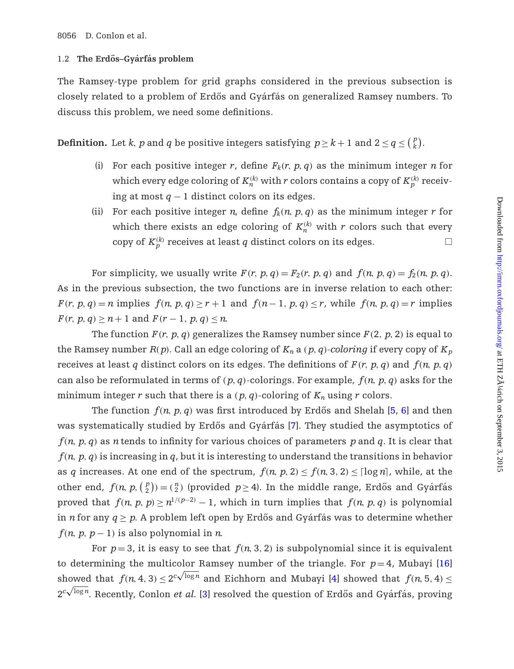# 1.2 The Erdős-Gyárfás problem

The Ramsey-type problem for grid graphs considered in the previous subsection is closely related to a problem of Erdős and Gyárfás on generalized Ramsey numbers. To discuss this problem, we need some definitions.

**Definition.** Let *k*, *p* and *q* be positive integers satisfying  $p \geq k+1$  and  $2 \leq q \leq {p \choose k}$ .

- (i) For each positive integer *r*, define  $F_k(r, p, q)$  as the minimum integer *n* for which every edge coloring of  $K_n^{(k)}$  with  $r$  colors contains a copy of  $K_p^{(k)}$  receiving at most *q* − 1 distinct colors on its edges.
- (ii) For each positive integer *n*, define  $f_k(n, p, q)$  as the minimum integer *r* for which there exists an edge coloring of  $K_n^{(k)}$  with  $r$  colors such that every copy of  $K_p^{(k)}$  receives at least  $q$  distinct colors on its edges.  $\hfill \Box$

For simplicity, we usually write  $F(r, p, q) = F_2(r, p, q)$  and  $f(n, p, q) = f_2(n, p, q)$ . As in the previous subsection, the two functions are in inverse relation to each other:  $F(r, p, q) = n$  implies  $f(n, p, q) > r + 1$  and  $f(n-1, p, q) < r$ , while  $f(n, p, q) = r$  implies  $F(r, p, q) \geq n + 1$  and  $F(r - 1, p, q) \leq n$ .

The function  $F(r, p, q)$  generalizes the Ramsey number since  $F(2, p, 2)$  is equal to the Ramsey number  $R(p)$ . Call an edge coloring of  $K_n$  a  $(p, q)$ -coloring if every copy of  $K_p$ receives at least *q* distinct colors on its edges. The definitions of  $F(r, p, q)$  and  $f(n, p, q)$ can also be reformulated in terms of  $(p, q)$ -colorings. For example,  $f(n, p, q)$  asks for the minimum integer *r* such that there is a  $(p, q)$ -coloring of  $K_n$  using *r* colors.

The function  $f(n, p, q)$  was first introduced by Erdős and Shelah [[5](#page-31-6), [6\]](#page-31-7) and then was systematically studied by Erdős and Gyárfás [[7\]](#page-31-8). They studied the asymptotics of *f*(*n*, *p*, *q*) as *n*tends to infinity for various choices of parameters *p* and *q*. It is clear that *f*(*n*, *p*, *q*) is increasing in *q*, but it is interesting to understand the transitions in behavior as *q* increases. At one end of the spectrum,  $f(n, p, 2) \le f(n, 3, 2) \le \lfloor \log n \rfloor$ , while, at the other end,  $f(n, p, \binom{p}{2}) = \binom{n}{2}$  (provided  $p \ge 4$ ). In the middle range, Erdős and Gyárfás proved that  $f(n, p, p) \ge n^{1/(p-2)} - 1$ , which in turn implies that  $f(n, p, q)$  is polynomial in *n* for any  $q \geq p$ . A problem left open by Erdős and Gyárfás was to determine whether  $f(n, p, p-1)$  is also polynomial in *n*.

For  $p=3$ , it is easy to see that  $f(n, 3, 2)$  is subpolynomial since it is equivalent to determining the multicolor Ramsey number of the triangle. For  $p=4$ , Mubayi [\[16\]](#page-32-1) showed that  $f(n, 4, 3) \leq 2^{c\sqrt{\log n}}$  and Eichhorn and Mubayi [\[4](#page-31-9)] showed that  $f(n, 5, 4) \leq$ Showed that  $f(t, 4, 3) \le 2$  and Etchnorn and Mubayi [4] showed that  $f(t, 3, 4) \le 2^{c\sqrt{\log n}}$ . Recently, Conlon *et al.* [\[3](#page-31-10)] resolved the question of Erdős and Gyárfás, proving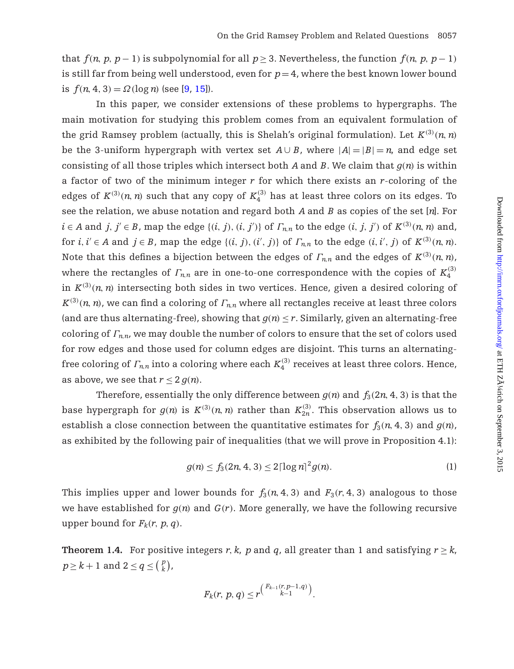that  $f(n, p, p-1)$  is subpolynomial for all  $p \ge 3$ . Nevertheless, the function  $f(n, p, p-1)$ is still far from being well understood, even for  $p=4$ , where the best known lower bound is  $f(n, 4, 3) = \Omega(\log n)$  (see [\[9,](#page-31-11) [15](#page-32-2)]).

In this paper, we consider extensions of these problems to hypergraphs. The main motivation for studying this problem comes from an equivalent formulation of the grid Ramsey problem (actually, this is Shelah's original formulation). Let  $K^{(3)}(n,n)$ be the 3-uniform hypergraph with vertex set  $A \cup B$ , where  $|A| = |B| = n$ , and edge set consisting of all those triples which intersect both *A* and *B*. We claim that *g*(*n*) is within a factor of two of the minimum integer *r* for which there exists an *r*-coloring of the edges of  $K^{(3)}(n, n)$  such that any copy of  $K_4^{(3)}$  has at least three colors on its edges. To see the relation, we abuse notation and regard both *A* and *B* as copies of the set [*n*]. For  $i \in A$  and  $j, j' \in B$ , map the edge  $\{(i, j), (i, j')\}$  of  $\Gamma_{n,n}$  to the edge  $(i, j, j')$  of  $K^{(3)}(n, n)$  and, for  $i, i' \in A$  and  $j \in B$ , map the edge  $\{(i, j), (i', j)\}$  of  $\Gamma_{n,n}$  to the edge  $(i, i', j)$  of  $K^{(3)}(n, n)$ . Note that this defines a bijection between the edges of  $\varGamma_{n,n}$  and the edges of  $K^{(3)}(n,n)$ , where the rectangles of  $\varGamma_{n,n}$  are in one-to-one correspondence with the copies of  $K_4^{(3)}$ in  $K^{(3)}(n,n)$  intersecting both sides in two vertices. Hence, given a desired coloring of  $K^{(3)}(n,n)$ , we can find a coloring of  $\varGamma_{n,n}$  where all rectangles receive at least three colors (and are thus alternating-free), showing that  $g(n) \leq r$ . Similarly, given an alternating-free coloring of  $\Gamma_{nn}$ , we may double the number of colors to ensure that the set of colors used for row edges and those used for column edges are disjoint. This turns an alternatingfree coloring of  $\varGamma_{n,n}$  into a coloring where each  $K_4^{(3)}$  receives at least three colors. Hence, as above, we see that  $r < 2 q(n)$ .

Therefore, essentially the only difference between  $q(n)$  and  $f_3(2n, 4, 3)$  is that the base hypergraph for  $g(n)$  is  $K^{(3)}(n,n)$  rather than  $K_{2n}^{(3)}$ . This observation allows us to establish a close connection between the quantitative estimates for  $f_3(n, 4, 3)$  and  $g(n)$ , as exhibited by the following pair of inequalities (that we will prove in Proposition 4.1):

<span id="page-5-0"></span>
$$
g(n) \le f_3(2n, 4, 3) \le 2\lceil \log n \rceil^2 g(n). \tag{1}
$$

This implies upper and lower bounds for  $f_3(n, 4, 3)$  and  $F_3(r, 4, 3)$  analogous to those we have established for  $g(n)$  and  $G(r)$ . More generally, we have the following recursive upper bound for  $F_k(r, p, q)$ .

**Theorem 1.4.** For positive integers *r*, *k*, *p* and *q*, all greater than 1 and satisfying  $r \geq k$ ,  $p \geq k+1$  and  $2 \leq q \leq {p \choose k}$ ,

$$
F_k(r, p, q) \le r^{\binom{F_{k-1}(r, p-1, q)}{k-1}}.
$$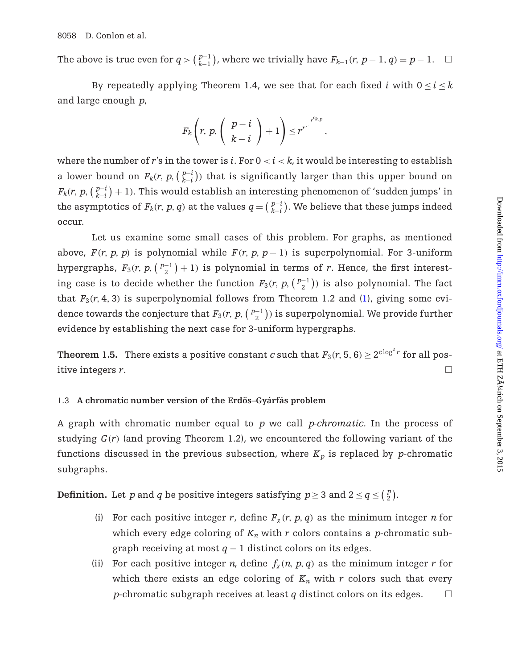The above is true even for  $q > \binom{p-1}{k-1}$ , where we trivially have  $F_{k-1}(r, p-1, q) = p-1$ .  $\Box$ 

By repeatedly applying Theorem 1.4, we see that for each fixed *i* with  $0 \le i \le k$ and large enough *p*,

$$
F_k\left(r, p, \left(\begin{array}{c} p-i \\ k-i \end{array}\right)+1\right)\leq r^{r^{-\frac{r^{c_k p}}{2}}}
$$

,

where the number of  $r'$ s in the tower is  $i$ . For  $0 < i < k$ , it would be interesting to establish a lower bound on  $F_k(r, p, \binom{p-i}{k-i})$  that is significantly larger than this upper bound on  $F_k(r,\,p,\big(\frac{p-i}{k-i}\big)+1).$  This would establish an interesting phenomenon of 'sudden jumps' in the asymptotics of  $F_k(r, p, q)$  at the values  $q = \binom{p-i}{k-i}$ . We believe that these jumps indeed occur.

Let us examine some small cases of this problem. For graphs, as mentioned above,  $F(r, p, p)$  is polynomial while  $F(r, p, p-1)$  is superpolynomial. For 3-uniform hypergraphs,  $F_3(r, p, \binom{p-1}{2} + 1)$  is polynomial in terms of *r*. Hence, the first interesting case is to decide whether the function  $F_3(r, p, \binom{p-1}{2})$  is also polynomial. The fact that  $F_3(r, 4, 3)$  is superpolynomial follows from Theorem 1.2 and [\(1\)](#page-5-0), giving some evidence towards the conjecture that  $F_3(r,\,p,\bigl(\frac{p-1}{2}\bigr))$  is superpolynomial. We provide further evidence by establishing the next case for 3-uniform hypergraphs.

**Theorem 1.5.** There exists a positive constant *c* such that  $F_3(r, 5, 6) \ge 2^{c \log^2 r}$  for all positive integers *r*.

#### 1.3 A chromatic number version of the Erdős–Gyárfás problem

A graph with chromatic number equal to *p* we call *p-chromatic*. In the process of studying  $G(r)$  (and proving Theorem 1.2), we encountered the following variant of the functions discussed in the previous subsection, where  $K_p$  is replaced by *p*-chromatic subgraphs.

**Definition.** Let *p* and *q* be positive integers satisfying  $p \ge 3$  and  $2 \le q \le \left(\frac{p}{2}\right)$ .

- (i) For each positive integer *r*, define  $F_\chi(r, p, q)$  as the minimum integer *n* for which every edge coloring of  $K_n$  with r colors contains a p-chromatic subgraph receiving at most  $q - 1$  distinct colors on its edges.
- (ii) For each positive integer *n*, define  $f_{\gamma}(n, p, q)$  as the minimum integer *r* for which there exists an edge coloring of  $K_n$  with  $r$  colors such that every *p*-chromatic subgraph receives at least *q* distinct colors on its edges.  $\Box$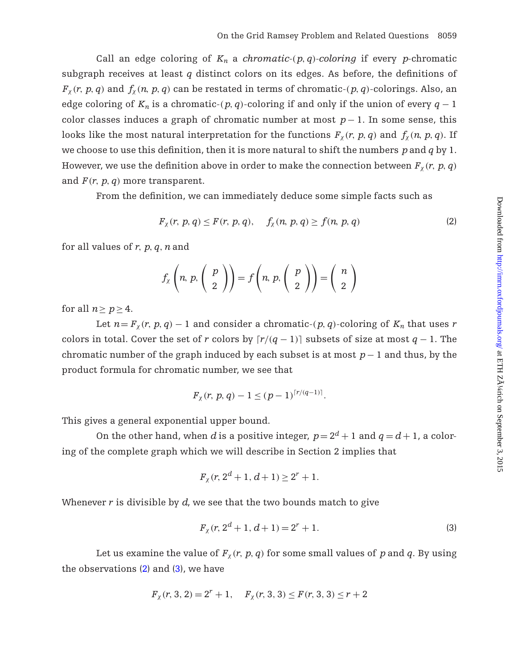Call an edge coloring of  $K_n$  a *chromatic-*( $p$ ,  $q$ )*-coloring* if every *p*-chromatic subgraph receives at least *q* distinct colors on its edges. As before, the definitions of  $F_\chi(r, p, q)$  and  $f_\chi(n, p, q)$  can be restated in terms of chromatic-( $p, q$ )-colorings. Also, an edge coloring of  $K_n$  is a chromatic-( $p, q$ )-coloring if and only if the union of every  $q - 1$ color classes induces a graph of chromatic number at most *p*− 1. In some sense, this looks like the most natural interpretation for the functions  $F_\chi(r, p, q)$  and  $f_\chi(n, p, q)$ . If we choose to use this definition, then it is more natural to shift the numbers *p*and *q* by 1. However, we use the definition above in order to make the connection between  $F_{\chi}(r, p, q)$ and  $F(r, p, q)$  more transparent.

From the definition, we can immediately deduce some simple facts such as

<span id="page-7-0"></span>
$$
F_{\chi}(r, p, q) \le F(r, p, q), \quad f_{\chi}(n, p, q) \ge f(n, p, q)
$$
 (2)

for all values of *r*, *p*, *q*,*n*and

$$
f_{\chi}\left(n, p, \left(\begin{array}{c} p \\ 2 \end{array}\right)\right) = f\left(n, p, \left(\begin{array}{c} p \\ 2 \end{array}\right)\right) = \left(\begin{array}{c} n \\ 2 \end{array}\right)
$$

for all  $n > p > 4$ .

Let  $n = F_\chi(r, p, q) - 1$  and consider a chromatic-(p, q)-coloring of  $K_n$  that uses r colors in total. Cover the set of *r* colors by  $\lceil r/(q-1) \rceil$  subsets of size at most  $q-1$ . The chromatic number of the graph induced by each subset is at most *p*− 1 and thus, by the product formula for chromatic number, we see that

$$
F_{\chi}(r, p, q) - 1 \le (p - 1)^{\lceil r/(q-1) \rceil}.
$$

This gives a general exponential upper bound.

On the other hand, when *d* is a positive integer,  $p = 2^d + 1$  and  $q = d + 1$ , a coloring of the complete graph which we will describe in Section 2 implies that

$$
F_{\chi}(r, 2^d+1, d+1) \ge 2^r+1.
$$

Whenever *r* is divisible by *d*, we see that the two bounds match to give

<span id="page-7-1"></span>
$$
F_{\chi}(r, 2^d + 1, d + 1) = 2^r + 1.
$$
 (3)

Let us examine the value of  $F_\chi(r, p, q)$  for some small values of p and q. By using the observations  $(2)$  and  $(3)$ , we have

$$
F_{\chi}(r, 3, 2) = 2^{r} + 1
$$
,  $F_{\chi}(r, 3, 3) \le F(r, 3, 3) \le r + 2$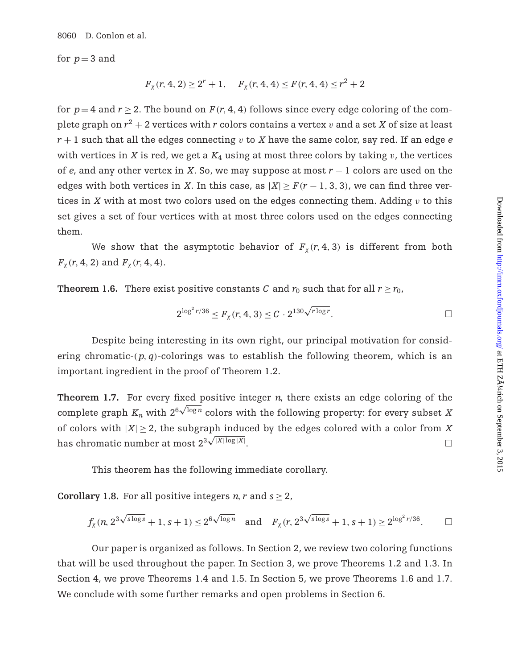8060 D. Conlon et al.

for  $p = 3$  and

$$
F_{\chi}(r,4,2) \ge 2^r+1, \quad F_{\chi}(r,4,4) \le F(r,4,4) \le r^2+2
$$

for  $p=4$  and  $r \geq 2$ . The bound on  $F(r, 4, 4)$  follows since every edge coloring of the complete graph on  $r^2 + 2$  vertices with *r* colors contains a vertex *v* and a set *X* of size at least  $r + 1$  such that all the edges connecting v to *X* have the same color, say red. If an edge *e* with vertices in  $X$  is red, we get a  $K_4$  using at most three colors by taking  $v$ , the vertices of *e*, and any other vertex in *X*. So, we may suppose at most *r* − 1 colors are used on the edges with both vertices in *X*. In this case, as  $|X| \geq F(r-1, 3, 3)$ , we can find three vertices in *X* with at most two colors used on the edges connecting them. Adding  $v$  to this set gives a set of four vertices with at most three colors used on the edges connecting them.

We show that the asymptotic behavior of  $F_\chi(r, 4, 3)$  is different from both *F*<sub>x</sub>(*r*, 4, 2) and *F*<sub>x</sub>(*r*, 4, 4).

**Theorem 1.6.** There exist positive constants *C* and  $r_0$  such that for all  $r \ge r_0$ ,

$$
2^{\log^2 r/36} \leq F_{\chi}(r, 4, 3) \leq C \cdot 2^{130 \sqrt{r \log r}}.
$$

Despite being interesting in its own right, our principal motivation for considering chromatic- $(p, q)$ -colorings was to establish the following theorem, which is an important ingredient in the proof of Theorem 1.2.

**Theorem 1.7.** For every fixed positive integer *n*, there exists an edge coloring of the complete graph  $K_n$  with  $2^6 \sqrt{\log n}$  colors with the following property: for every subset *X* of colors with  $|X| \geq 2$ , the subgraph induced by the edges colored with a color from X has chromatic number at most  $2^{3\sqrt{|X|\log |X|}}$ . The contract of the contract of  $\Box$ 

This theorem has the following immediate corollary.

**Corollary 1.8.** For all positive integers *n*, *r* and  $s > 2$ ,

$$
f_{\chi}(n, 2^{3\sqrt{s\log s}}+1, s+1) \leq 2^{6\sqrt{\log n}} \quad \text{and} \quad F_{\chi}(r, 2^{3\sqrt{s\log s}}+1, s+1) \geq 2^{\log^2 r/36}. \qquad \Box
$$

Our paper is organized as follows. In Section 2, we review two coloring functions that will be used throughout the paper. In Section 3, we prove Theorems 1.2 and 1.3. In Section 4, we prove Theorems 1.4 and 1.5. In Section 5, we prove Theorems 1.6 and 1.7. We conclude with some further remarks and open problems in Section 6.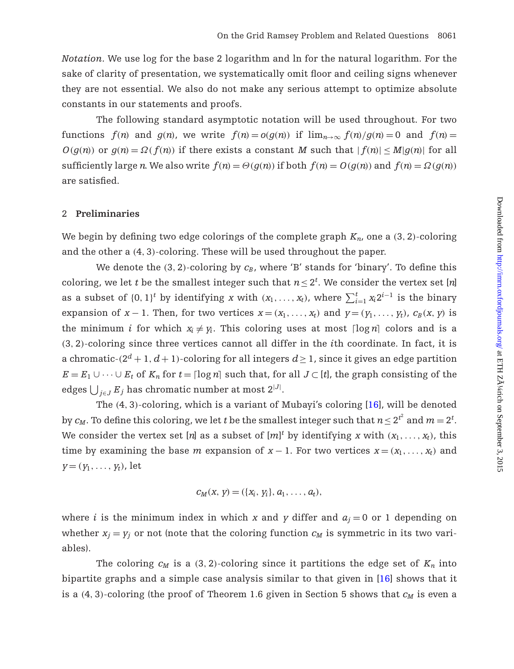*Notation.* We use log for the base 2 logarithm and ln for the natural logarithm. For the sake of clarity of presentation, we systematically omit floor and ceiling signs whenever they are not essential. We also do not make any serious attempt to optimize absolute constants in our statements and proofs.

The following standard asymptotic notation will be used throughout. For two functions  $f(n)$  and  $g(n)$ , we write  $f(n) = o(g(n))$  if  $\lim_{n\to\infty} f(n)/g(n) = 0$  and  $f(n) =$  $O(g(n))$  or  $g(n) = \Omega(f(n))$  if there exists a constant *M* such that  $|f(n)| \leq M|g(n)|$  for all sufficiently large *n*. We also write  $f(n) = \Theta(g(n))$  if both  $f(n) = O(g(n))$  and  $f(n) = \Omega(g(n))$ are satisfied.

# 2 **Preliminaries**

We begin by defining two edge colorings of the complete graph  $K_n$ , one a (3, 2)-coloring and the other a (4, 3)-coloring. These will be used throughout the paper.

We denote the  $(3, 2)$ -coloring by  $c_B$ , where 'B' stands for 'binary'. To define this coloring, we let *t* be the smallest integer such that  $n \leq 2^t$ . We consider the vertex set [*n*] as a subset of  $\{0, 1\}^t$  by identifying *x* with  $(x_1, \ldots, x_t)$ , where  $\sum_{i=1}^t x_i 2^{i-1}$  is the binary expansion of *x* − 1. Then, for two vertices  $x = (x_1, \ldots, x_t)$  and  $y = (y_1, \ldots, y_t)$ ,  $c_B(x, y)$  is the minimum *i* for which  $x_i \neq y_i$ . This coloring uses at most  $\lceil \log n \rceil$  colors and is a (3, 2)-coloring since three vertices cannot all differ in the *i*th coordinate. In fact, it is a chromatic- $(2^d + 1, d + 1)$ -coloring for all integers  $d \ge 1$ , since it gives an edge partition *E* =  $E_1$  ∪ ···∪  $E_t$  of  $K_n$  for  $t = \lceil \log n \rceil$  such that, for all  $J \subset [t]$ , the graph consisting of the edges  $\bigcup_{j\in J}E_j$  has chromatic number at most  $2^{|J|}.$ 

The (4, 3)-coloring, which is a variant of Mubayi's coloring [\[16\]](#page-32-1), will be denoted by  $c_M$ . To define this coloring, we let  $t$  be the smallest integer such that  $n$   $\leq$   $2^{t^2}$  and  $m$   $=$   $2^t$ . We consider the vertex set [*n*] as a subset of  $[m]^t$  by identifying *x* with  $(x_1, \ldots, x_t)$ , this time by examining the base *m* expansion of  $x - 1$ . For two vertices  $x = (x_1, \ldots, x_t)$  and  $y=(y_1,\ldots,y_t)$ , let

$$
c_M(x, y) = (\{x_i, y_i\}, a_1, \ldots, a_t),
$$

where *i* is the minimum index in which *x* and *y* differ and  $a_j = 0$  or 1 depending on whether  $x_j = y_j$  or not (note that the coloring function  $c_M$  is symmetric in its two variables).

The coloring  $c_M$  is a (3, 2)-coloring since it partitions the edge set of  $K_n$  into bipartite graphs and a simple case analysis similar to that given in [\[16\]](#page-32-1) shows that it is a  $(4, 3)$ -coloring (the proof of Theorem 1.6 given in Section 5 shows that  $c_M$  is even a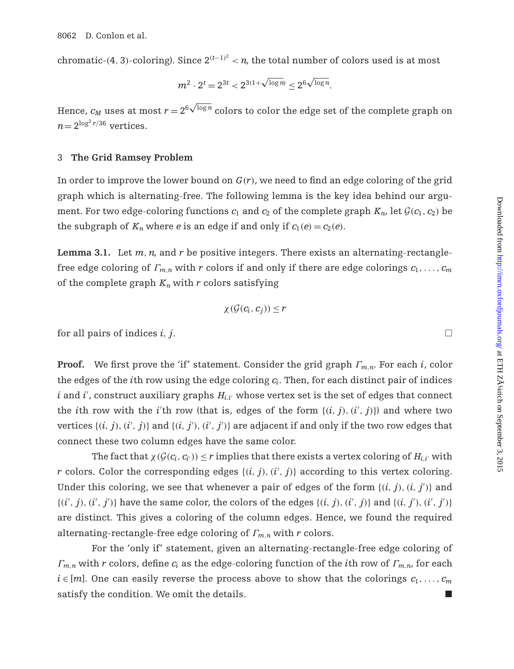$\hbox{chromatic-(4, 3)-coloring).}$  Since  $2^{(t-1)^2} < n$ , the total number of colors used is at most

$$
m^2 \cdot 2^t = 2^{3t} < 2^{3(1+\sqrt{\log n})} \le 2^6 \sqrt{\log n}.
$$

Hence,  $c_M$  uses at most  $r\!=\!2^{6\sqrt{\log n}}$  colors to color the edge set of the complete graph on  $n = 2^{\log^2 r/36}$  vertices.

#### 3 **The Grid Ramsey Problem**

In order to improve the lower bound on *G*(*r*), we need to find an edge coloring of the grid graph which is alternating-free. The following lemma is the key idea behind our argument. For two edge-coloring functions  $c_1$  and  $c_2$  of the complete graph  $K_n$ , let  $\mathcal{G}(c_1, c_2)$  be the subgraph of  $K_n$  where *e* is an edge if and only if  $c_1(e) = c_2(e)$ .

**Lemma 3.1.** Let *m*,*n*, and *r* be positive integers. There exists an alternating-rectanglefree edge coloring of Γ*<sup>m</sup>*,*<sup>n</sup>* with *r* colors if and only if there are edge colorings *c*1,..., *cm* of the complete graph  $K_n$  with r colors satisfying

$$
\chi(\mathcal{G}(c_i,c_j))\leq r
$$

for all pairs of indices  $i, j$ .

**Proof.** We first prove the 'if' statement. Consider the grid graph Γ*<sup>m</sup>*,*<sup>n</sup>*. For each *i*, color the edges of the *i*th row using the edge coloring *ci*. Then, for each distinct pair of indices  $i$  and  $i'$ , construct auxiliary graphs  $H_{i,i'}$  whose vertex set is the set of edges that connect the *i*th row with the *i*'th row (that is, edges of the form  $\{(i, j), (i', j)\}$ ) and where two vertices  $\{(i, j), (i', j)\}$  and  $\{(i, j'), (i', j')\}$  are adjacent if and only if the two row edges that connect these two column edges have the same color.

The fact that  $\chi(G(c_i, c_{i'})) < r$  implies that there exists a vertex coloring of  $H_{i,i'}$  with *r* colors. Color the corresponding edges  $\{(i, j), (i', j)\}$  according to this vertex coloring. Under this coloring, we see that whenever a pair of edges of the form  $\{(i, j), (i, j')\}$  and  $\{(i', j), (i', j')\}$  have the same color, the colors of the edges  $\{(i, j), (i', j)\}$  and  $\{(i, j'), (i', j')\}$ are distinct. This gives a coloring of the column edges. Hence, we found the required alternating-rectangle-free edge coloring of Γ*<sup>m</sup>*,*<sup>n</sup>* with *r* colors.

For the 'only if' statement, given an alternating-rectangle-free edge coloring of Γ*<sup>m</sup>*,*<sup>n</sup>* with *r* colors, define *ci* as the edge-coloring function of the *i*th row of Γ*<sup>m</sup>*,*<sup>n</sup>*, for each  $i \in [m]$ . One can easily reverse the process above to show that the colorings  $c_1, \ldots, c_m$ satisfy the condition. We omit the details.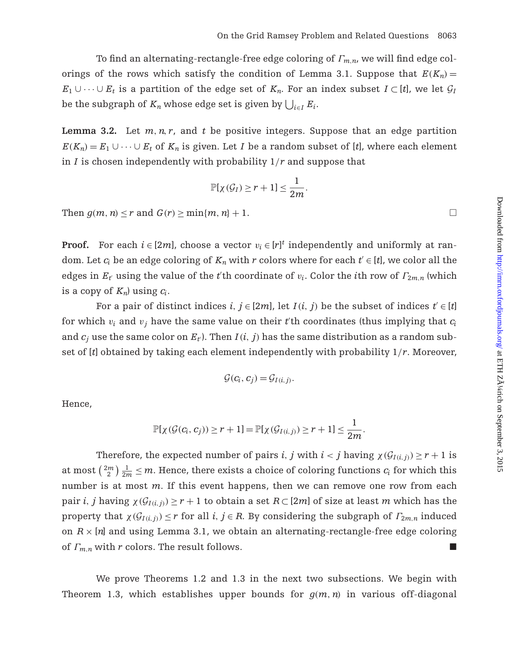To find an alternating-rectangle-free edge coloring of Γ*<sup>m</sup>*,*<sup>n</sup>*, we will find edge colorings of the rows which satisfy the condition of Lemma 3.1. Suppose that  $E(K_n)$  = *E*<sub>1</sub> ∪ ··· ∪ *E*<sub>t</sub> is a partition of the edge set of  $K_n$ . For an index subset  $I \subset [t]$ , we let  $\mathcal{G}_I$ be the subgraph of  $K_n$  whose edge set is given by  $\bigcup_{i \in I} E_i$ .

**Lemma 3.2.** Let  $m, n, r$ , and  $t$  be positive integers. Suppose that an edge partition  $E(K_n) = E_1 \cup \cdots \cup E_t$  of  $K_n$  is given. Let *I* be a random subset of [*t*], where each element in *I* is chosen independently with probability 1/*r* and suppose that

$$
\mathbb{P}[\chi(\mathcal{G}_I) \geq r+1] \leq \frac{1}{2m}.
$$

Then  $g(m, n) \leq r$  and  $G(r) \geq \min\{m, n\} + 1$ .

**Proof.** For each  $i \in [2m]$ , choose a vector  $v_i \in [r]^t$  independently and uniformly at random. Let  $c_i$  be an edge coloring of  $K_n$  with r colors where for each  $t' \in [t]$ , we color all the edges in  $E_t$  using the value of the *t*'th coordinate of  $v_i$ . Color the *i*th row of  $\Gamma_{2m,n}$  (which is a copy of  $K_n$ ) using  $c_i$ .

For a pair of distinct indices  $i, j \in [2m]$ , let  $I(i, j)$  be the subset of indices  $t' \in [t]$ for which  $v_i$  and  $v_j$  have the same value on their  $t'$ th coordinates (thus implying that  $c_i$ and  $c_j$  use the same color on  $E_t$ ). Then  $I(i, j)$  has the same distribution as a random subset of [*t*] obtained by taking each element independently with probability 1/*r*. Moreover,

$$
\mathcal{G}(c_i,c_j)=\mathcal{G}_{I(i,j)}.
$$

Hence,

$$
\mathbb{P}[\chi(\mathcal{G}(c_i,c_j))\geq r+1]=\mathbb{P}[\chi(\mathcal{G}_{I(i,j)})\geq r+1]\leq \frac{1}{2m}.
$$

Therefore, the expected number of pairs *i*, *j* with  $i < j$  having  $\chi(G_{I(i,j)}) \geq r + 1$  is at most  $\binom{2m}{2}\frac{1}{2m} \leq m$ . Hence, there exists a choice of coloring functions  $c_i$  for which this number is at most *m*. If this event happens, then we can remove one row from each pair *i*, *j* having  $\chi(G_{I(i,j)}) \geq r + 1$  to obtain a set  $R \subset [2m]$  of size at least *m* which has the property that  $\chi(G_{I(i,j)}) \leq r$  for all *i*,  $j \in R$ . By considering the subgraph of  $\Gamma_{2m,n}$  induced on  $R \times [n]$  and using Lemma 3.1, we obtain an alternating-rectangle-free edge coloring of  $\Gamma_{m,n}$  with *r* colors. The result follows.

We prove Theorems 1.2 and 1.3 in the next two subsections. We begin with Theorem 1.3, which establishes upper bounds for  $q(m, n)$  in various off-diagonal

 $\Box$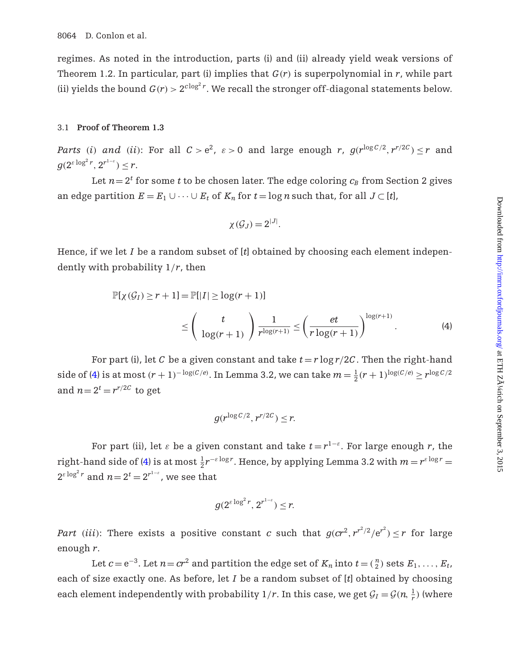regimes. As noted in the introduction, parts (i) and (ii) already yield weak versions of Theorem 1.2. In particular, part (i) implies that *G*(*r*) is superpolynomial in *r*, while part (ii) yields the bound  $G(r) > 2^{c \log^2 r}$ . We recall the stronger of f-diagonal statements below.

#### 3.1 **Proof of Theorem 1.3**

*Parts* (*i*) *and* (*ii*): For all  $C > e^2$ ,  $\varepsilon > 0$  and large enough *r*,  $g(r^{\log C/2}, r^{r/2C}) \le r$  and  $g(2^{\varepsilon \log^2 r}, 2^{r^{1-\varepsilon}}) \leq r.$ 

Let  $n=2^t$  for some *t* to be chosen later. The edge coloring  $c_B$  from Section 2 gives an edge partition  $E = E_1 \cup \cdots \cup E_t$  of  $K_n$  for  $t = \log n$  such that, for all  $J \subset [t]$ ,

<span id="page-12-0"></span>
$$
\chi(\mathcal{G}_J)=2^{|J|}.
$$

Hence, if we let *I* be a random subset of [*t*] obtained by choosing each element independently with probability 1/*r*, then

$$
\mathbb{P}[\chi(\mathcal{G}_I) \ge r+1] = \mathbb{P}[\vert I \vert \ge \log(r+1)]
$$
  
\n
$$
\le \left(\frac{t}{\log(r+1)}\right) \frac{1}{r^{\log(r+1)}} \le \left(\frac{et}{r \log(r+1)}\right)^{\log(r+1)}.
$$
 (4)

For part (i), let *C* be a given constant and take  $t = r \log r / 2C$ . Then the right-hand side of [\(4\)](#page-12-0) is at most  $(r + 1)^{-\log(C/e)}$ . In Lemma 3.2, we can take  $m = \frac{1}{2}(r + 1)^{\log(C/e)} \ge r^{\log C/2}$ and  $n = 2^t = r^{r/2C}$  to get

$$
g(r^{\log C/2}, r^{r/2C}) \leq r.
$$

For part (ii), let  $\varepsilon$  be a given constant and take  $t = r^{1-\varepsilon}$ . For large enough r, the right-hand side of [\(4\)](#page-12-0) is at most  $\frac{1}{2}r^{-\varepsilon \log r}$ . Hence, by applying Lemma 3.2 with  $m = r^{\varepsilon \log r} =$  $2^{\varepsilon \log^2 r}$  and  $n \!=\! 2^t \!=\! 2^{r^{1-\varepsilon}}$ , we see that

$$
g(2^{\varepsilon \log^2 r}, 2^{r^{1-\varepsilon}}) \leq r.
$$

*Part* (*iii*): There exists a positive constant *c* such that  $g(cr^2, r^{r^2/2}/e^{r^2}) \leq r$  for large enough *r*.

Let  $c = e^{-3}$ . Let  $n = cr^2$  and partition the edge set of  $K_n$  into  $t = \binom{n}{2}$  sets  $E_1, \ldots, E_t$ , each of size exactly one. As before, let *I* be a random subset of [*t*] obtained by choosing each element independently with probability  $1/r$ . In this case, we get  $\mathcal{G}_I = \mathcal{G}(n, \frac{1}{r})$  (where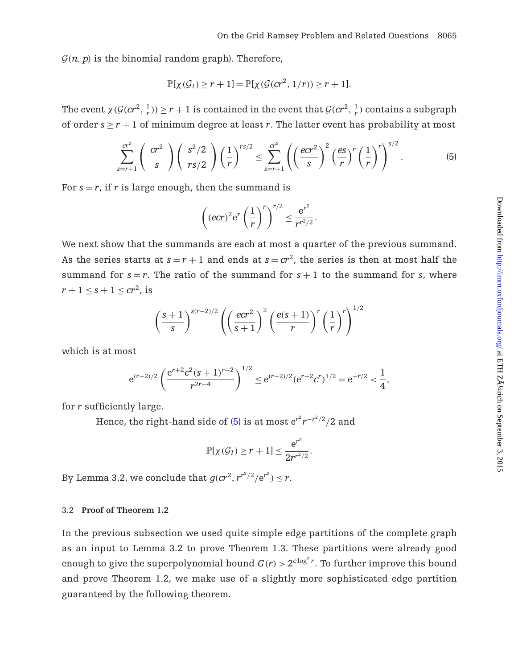$G(n, p)$  is the binomial random graph). Therefore,

$$
\mathbb{P}[\chi(\mathcal{G}_I) \ge r+1] = \mathbb{P}[\chi(\mathcal{G}(cr^2, 1/r)) \ge r+1].
$$

The event  $\chi(\mathcal{G}(cr^2, \frac{1}{r})) \geq r + 1$  is contained in the event that  $\mathcal{G}(cr^2, \frac{1}{r})$  contains a subgraph of order  $s \ge r + 1$  of minimum degree at least *r*. The latter event has probability at most

<span id="page-13-0"></span>
$$
\sum_{s=r+1}^{\sigma^2} \binom{\sigma r^2}{s} \binom{s^2/2}{rs/2} \left(\frac{1}{r}\right)^{rs/2} \leq \sum_{s=r+1}^{\sigma^2} \left(\left(\frac{ecr^2}{s}\right)^2 \left(\frac{es}{r}\right)^r \left(\frac{1}{r}\right)^r\right)^{s/2}.
$$
 (5)

For  $s = r$ , if  $r$  is large enough, then the summand is

$$
\left(\left(\text{ecr}\right)^2 e^r \left(\frac{1}{r}\right)^r\right)^{r/2} \leq \frac{e^{r^2}}{r^{r^2/2}}.
$$

We next show that the summands are each at most a quarter of the previous summand. As the series starts at  $s = r + 1$  and ends at  $s = cr^2$ , the series is then at most half the summand for  $s = r$ . The ratio of the summand for  $s + 1$  to the summand for *s*, where  $r + 1 \leq s + 1 \leq cr^2$ , is

$$
\left(\frac{s+1}{s}\right)^{s(r-2)/2} \left( \left(\frac{ecr^2}{s+1}\right)^2 \left(\frac{e(s+1)}{r}\right)^r \left(\frac{1}{r}\right)^r \right)^{1/2}
$$

which is at most

$$
e^{(r-2)/2} \left( \frac{e^{r+2} c^2 (s+1)^{r-2}}{r^{2r-4}} \right)^{1/2} \leq e^{(r-2)/2} (e^{r+2} c^r)^{1/2} = e^{-r/2} < \frac{1}{4},
$$

for *r* sufficiently large.

Hence, the right-hand side of [\(5\)](#page-13-0) is at most  ${\rm e}^{r^2} r^{-r^2/2}/2$  and

$$
\mathbb{P}[\chi(\mathcal{G}_I) \geq r+1] \leq \frac{e^{r^2}}{2r^{r^2/2}}.
$$

By Lemma 3.2, we conclude that  $g (c r^2, r^{r^2/2}/e^{r^2}) \leq r$ .

# 3.2 **Proof of Theorem 1.2**

In the previous subsection we used quite simple edge partitions of the complete graph as an input to Lemma 3.2 to prove Theorem 1.3. These partitions were already good enough to give the superpolynomial bound  $G(r) > 2^{c \log^2 r}$ . To further improve this bound and prove Theorem 1.2, we make use of a slightly more sophisticated edge partition guaranteed by the following theorem.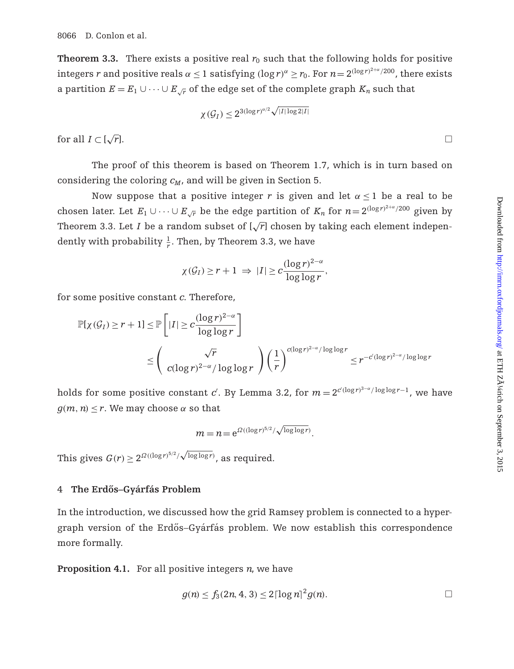**Theorem 3.3.** There exists a positive real  $r_0$  such that the following holds for positive integers *r* and positive reals  $\alpha \le 1$  satisfying  $(\log r)^{\alpha} \ge r_0$ . For  $n = 2^{(\log r)^{2+\alpha}/200}$ , there exists a partition  $E = E_1 \cup \cdots \cup E_{\sqrt{r}}$  of the edge set of the complete graph  $K_n$  such that

$$
\chi(\mathcal{G}_I) \leq 2^{3(\log r)^{\alpha/2}\sqrt{|I|\log 2|I|}}
$$

for all  $I \subset [\sqrt{r}]$ .  $\sqrt{r}$ ].

The proof of this theorem is based on Theorem 1.7, which is in turn based on considering the coloring  $c_M$ , and will be given in Section 5.

Now suppose that a positive integer *r* is given and let  $\alpha$  < 1 be a real to be chosen later. Let  $E_1 \cup \cdots \cup E_{\sqrt{r}}$  be the edge partition of  $K_n$  for  $n=2^{(\log r)^{2+\alpha}/200}$  given by Theorem 3.3. Let *I* be a random subset of  $[\sqrt{r}]$  chosen by taking each element independently with probability  $\frac{1}{r}$ . Then, by Theorem 3.3, we have

$$
\chi(G_I) \ge r+1 \implies |I| \ge c \frac{(\log r)^{2-\alpha}}{\log \log r},
$$

for some positive constant *c*. Therefore,

$$
\mathbb{P}[\chi(\mathcal{G}_I) \ge r+1] \le \mathbb{P}\left[|I| \ge c \frac{(\log r)^{2-\alpha}}{\log \log r}\right]
$$
  

$$
\le \left(\frac{\sqrt{r}}{c(\log r)^{2-\alpha}/\log \log r}\right) \left(\frac{1}{r}\right)^{c(\log r)^{2-\alpha}/\log \log r} \le r^{-c'(\log r)^{2-\alpha}/\log \log r}
$$

holds for some positive constant  $c'$ . By Lemma 3.2, for  $m = 2^{c'(\log r)^{3-\alpha}/\log\log r - 1}$ , we have  $q(m, n) < r$ . We may choose  $\alpha$  so that

$$
m = n = e^{\Omega((\log r)^{5/2}/\sqrt{\log \log r})}.
$$

This gives  $G(r) \geq 2^{\Omega((\log r)^{5/2}/\sqrt{\log\log r})}$ , as required.

#### 4 **The Erdos–Gy ˝ arf ´ as Problem ´**

In the introduction, we discussed how the grid Ramsey problem is connected to a hypergraph version of the Erdős–Gyárfás problem. We now establish this correspondence more formally.

**Proposition 4.1.** For all positive integers *n*, we have

$$
g(n) \le f_3(2n, 4, 3) \le 2\lceil \log n \rceil^2 g(n).
$$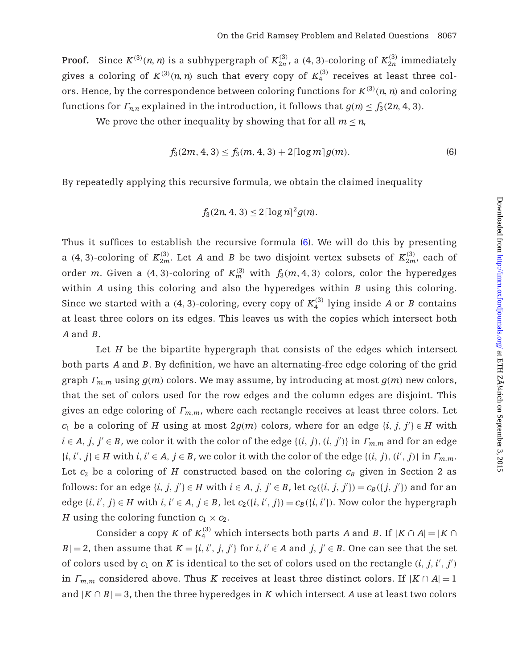**Proof.** Since  $K^{(3)}(n, n)$  is a subhypergraph of  $K_{2n}^{(3)}$ , a (4, 3)-coloring of  $K_{2n}^{(3)}$  immediately gives a coloring of  $K^{(3)}(n, n)$  such that every copy of  $K_4^{(3)}$  receives at least three colors. Hence, by the correspondence between coloring functions for  $K^{(3)}(n, n)$  and coloring functions for  $\Gamma_{n,n}$  explained in the introduction, it follows that  $g(n) \leq f_3(2n, 4, 3)$ .

We prove the other inequality by showing that for all  $m \leq n$ ,

<span id="page-15-0"></span>
$$
f_3(2m, 4, 3) \le f_3(m, 4, 3) + 2\lceil \log m \rceil g(m). \tag{6}
$$

By repeatedly applying this recursive formula, we obtain the claimed inequality

$$
f_3(2n, 4, 3) \le 2\lceil \log n \rceil^2 g(n).
$$

Thus it suffices to establish the recursive formula [\(6\)](#page-15-0). We will do this by presenting a (4, 3)-coloring of  $K_{2m}^{(3)}$ . Let *A* and *B* be two disjoint vertex subsets of  $K_{2m}^{(3)}$ , each of order *m*. Given a (4, 3)-coloring of  $K_m^{(3)}$  with  $f_3(m, 4, 3)$  colors, color the hyperedges within *A* using this coloring and also the hyperedges within *B* using this coloring. Since we started with a  $(4, 3)$ -coloring, every copy of  $K_4^{(3)}$  lying inside A or B contains at least three colors on its edges. This leaves us with the copies which intersect both *A* and *B*.

Let *H* be the bipartite hypergraph that consists of the edges which intersect both parts *A* and *B*. By definition, we have an alternating-free edge coloring of the grid graph  $\Gamma_{m,m}$  using  $g(m)$  colors. We may assume, by introducing at most  $g(m)$  new colors, that the set of colors used for the row edges and the column edges are disjoint. This gives an edge coloring of Γ*<sup>m</sup>*,*<sup>m</sup>*, where each rectangle receives at least three colors. Let *c*<sub>1</sub> be a coloring of *H* using at most  $2g(m)$  colors, where for an edge  $\{i, j, j'\} \in H$  with  $i \in A$ ,  $j, j' \in B$ , we color it with the color of the edge  $\{(i, j), (i, j')\}$  in  $\Gamma_{m,m}$  and for an edge  $\{i, i', j\} \in H$  with  $i, i' \in A, j \in B$ , we color it with the color of the edge  $\{(i, j), (i', j)\}$  in  $\Gamma_{m,m}$ . Let  $c_2$  be a coloring of *H* constructed based on the coloring  $c_B$  given in Section 2 as follows: for an edge  $\{i, j, j'\} \in H$  with  $i \in A$ ,  $j, j' \in B$ , let  $c_2(\{i, j, j'\}) = c_B(\{j, j'\})$  and for an edge  $\{i, i', j\} \in H$  with  $i, i' \in A, j \in B$ , let  $c_2(\{i, i', j\}) = c_B(\{i, i'\})$ . Now color the hypergraph *H* using the coloring function  $c_1 \times c_2$ .

Consider a copy *K* of  $K_4^{(3)}$  which intersects both parts *A* and *B*. If  $|K \cap A| = |K \cap A|$ *B*| = 2, then assume that  $K = \{i, i', j, j'\}$  for  $i, i' \in A$  and  $j, j' \in B$ . One can see that the set of colors used by  $c_1$  on  $K$  is identical to the set of colors used on the rectangle  $(i, j, i', j')$ in  $\Gamma_{m,m}$  considered above. Thus *K* receives at least three distinct colors. If  $|K \cap A| = 1$ and  $|K \cap B| = 3$ , then the three hyperedges in *K* which intersect *A* use at least two colors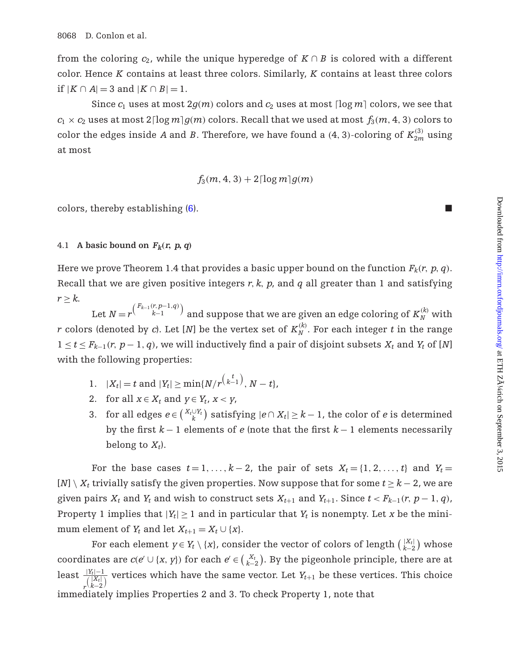from the coloring  $c_2$ , while the unique hyperedge of  $K \cap B$  is colored with a different color. Hence *K* contains at least three colors. Similarly, *K* contains at least three colors if  $|K \cap A| = 3$  and  $|K \cap B| = 1$ .

Since  $c_1$  uses at most  $2g(m)$  colors and  $c_2$  uses at most  $\lceil \log m \rceil$  colors, we see that  $c_1 \times c_2$  uses at most  $2 \lceil \log m \rceil g(m)$  colors. Recall that we used at most  $f_3(m, 4, 3)$  colors to color the edges inside *A* and *B*. Therefore, we have found a (4, 3)-coloring of  $K_{2m}^{(3)}$  using at most

$$
f_3(m,4,3)+2\lceil\log m\rceil g(m)
$$

colors, thereby establishing [\(6\)](#page-15-0).

# 4.1 A basic bound on  $F_k(r, p, q)$

Here we prove Theorem 1.4 that provides a basic upper bound on the function  $F_k(r, p, q)$ . Recall that we are given positive integers *r*, *k*, *p*, and *q* all greater than 1 and satisfying  $r \geq k$ .

Let  $N = r^{\binom{F_{k-1}(r,p-1,q)}{k-1}}$  and suppose that we are given an edge coloring of  $K_N^{(k)}$  with *r* colors (denoted by *c*). Let [*N*] be the vertex set of  $K_N^{(k)}$ . For each integer *t* in the range  $1 \le t \le F_{k-1}(r, p-1, q)$ , we will inductively find a pair of disjoint subsets  $X_t$  and  $Y_t$  of [N] with the following properties:

- 1.  $|X_t| = t$  and  $|Y_t| \ge \min\{N/r^{\binom{t}{k-1}}, N-t\},$
- 2. for all  $x \in X_t$  and  $y \in Y_t$ ,  $x < y$ ,
- 3. for all edges  $e \in {X_t \cup Y_t \choose k}$  satisfying  $|e \cap X_t| \ge k 1$ , the color of  $e$  is determined by the first *k* − 1 elements of *e* (note that the first *k* − 1 elements necessarily belong to  $X_t$ ).

For the base cases  $t = 1, \ldots, k-2$ , the pair of sets  $X_t = \{1, 2, \ldots, t\}$  and  $Y_t =$  $[N] \setminus X_t$  trivially satisfy the given properties. Now suppose that for some  $t \geq k-2$ , we are given pairs  $X_t$  and  $Y_t$  and wish to construct sets  $X_{t+1}$  and  $Y_{t+1}$ . Since  $t < F_{k-1}(r, p-1, q)$ , Property 1 implies that  $|Y_t| \geq 1$  and in particular that  $Y_t$  is nonempty. Let *x* be the minimum element of  $Y_t$  and let  $X_{t+1} = X_t \cup \{x\}.$ 

For each element  $y \in Y_t \setminus \{x\}$ , consider the vector of colors of length  $\binom{|X_t|}{k-2}$  whose coordinates are  $c(e' \cup \{x, y\})$  for each  $e' \in {X_t \choose k-2}$ . By the pigeonhole principle, there are at least <sup>|</sup>*Yt*|−<sup>1</sup>  $\sqrt{\binom{|X_t|}{k-2}}$  $\frac{1}{\sqrt{2}}$  vertices which have the same vector. Let  $Y_{t+1}$  be these vertices. This choice immediately implies Properties 2 and 3. To check Property 1, note that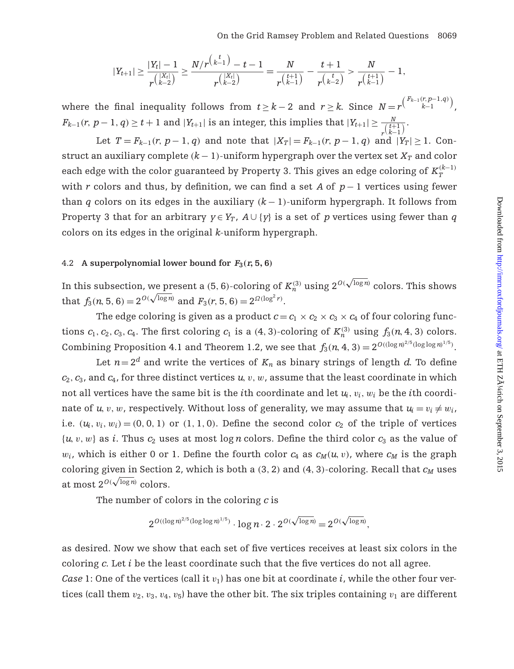$$
|Y_{t+1}| \geq \frac{|Y_t| - 1}{r^{\binom{|X_t|}{k-2}}} \geq \frac{N/r^{\binom{t}{k-1}} - t - 1}{r^{\binom{|X_t|}{k-2}}} = \frac{N}{r^{\binom{t+1}{k-1}}} - \frac{t+1}{r^{\binom{t}{k-2}}} > \frac{N}{r^{\binom{t+1}{k-1}}} - 1,
$$

where the final inequality follows from  $t \geq k-2$  and  $r \geq k$ . Since  $N = r^{\binom{F_{k-1}(r,p-1,q)}{k-1}}$ ,  $F_{k-1}(r,\,p-1,\,q)\geq t+1$  and  $|Y_{t+1}|$  is an integer, this implies that  $|Y_{t+1}|\geq \frac{N}{r^{\binom{t+1}{k-1}}}.$ 

Let  $T = F_{k-1}(r, p-1, q)$  and note that  $|X_T| = F_{k-1}(r, p-1, q)$  and  $|Y_T| \ge 1$ . Construct an auxiliary complete  $(k-1)$ -uniform hypergraph over the vertex set  $X_T$  and color each edge with the color guaranteed by Property 3. This gives an edge coloring of  $K_T^{(k-1)}$ with *r* colors and thus, by definition, we can find a set *A* of *p*− 1 vertices using fewer than *q* colors on its edges in the auxiliary  $(k-1)$ -uniform hypergraph. It follows from Property 3 that for an arbitrary  $y \in Y_T$ ,  $A \cup \{y\}$  is a set of *p* vertices using fewer than *q* colors on its edges in the original *k*-uniform hypergraph.

#### 4.2 A superpolynomial lower bound for  $F_3$ ( $r$ , 5, 6)

In this subsection, we present a (5, 6)-coloring of  $K_n^{(3)}$  using  $2^{O(\sqrt{\log n})}$  colors. This shows that  $f_3(n, 5, 6) = 2^{O(\sqrt{\log n})}$  and  $F_3(r, 5, 6) = 2^{O(\log^2 r)}$ .

The edge coloring is given as a product  $c = c_1 \times c_2 \times c_3 \times c_4$  of four coloring functions  $c_1$ ,  $c_2$ ,  $c_3$ ,  $c_4$ . The first coloring  $c_1$  is a (4, 3)-coloring of  $K_n^{(3)}$  using  $f_3(n, 4, 3)$  colors. Combining Proposition 4.1 and Theorem 1.2, we see that  $f_3(n, 4, 3) = 2^{O((\log n)^{2/5}(\log \log n)^{1/5})}$ .

Let  $n=2^d$  and write the vertices of  $K_n$  as binary strings of length *d*. To define  $c_2$ ,  $c_3$ , and  $c_4$ , for three distinct vertices  $u, v, w$ , assume that the least coordinate in which not all vertices have the same bit is the *i*th coordinate and let  $u_i$ ,  $v_i$ ,  $w_i$  be the *i*th coordinate of *u*, *v*, *w*, respectively. Without loss of generality, we may assume that  $u_i = v_i \neq w_i$ , i.e.  $(u_i, v_i, w_i) = (0, 0, 1)$  or  $(1, 1, 0)$ . Define the second color  $c_2$  of the triple of vertices  $\{u, v, w\}$  as *i*. Thus  $c_2$  uses at most log *n* colors. Define the third color  $c_3$  as the value of  $w_i$ , which is either 0 or 1. Define the fourth color  $c_4$  as  $c_M(u, v)$ , where  $c_M$  is the graph coloring given in Section 2, which is both a  $(3, 2)$  and  $(4, 3)$ -coloring. Recall that  $c_M$  uses  $\frac{1}{\text{cot} \cdot \text{cos} \cdot \text{cos} \cdot \text{cos} \cdot \text{cos} \cdot \text{cos} \cdot \text{cos} \cdot \text{cos} \cdot \text{cos} \cdot \text{cos} \cdot \text{cos} \cdot \text{cos} \cdot \text{cos} \cdot \text{cos} \cdot \text{cos} \cdot \text{cos} \cdot \text{cos} \cdot \text{cos} \cdot \text{cos} \cdot \text{cos} \cdot \text{cos} \cdot \text{cos} \cdot \text{cos} \cdot \text{cos} \cdot \text{cos} \cdot \text{cos} \cdot \text{cos} \cdot \text{cos} \cdot \text{cos} \cdot \text{cos} \cdot \text{cos}$ 

The number of colors in the coloring *c* is

$$
2^{O((\log n)^{2/5}(\log \log n)^{1/5})}\cdot \log n \cdot 2 \cdot 2^{O(\sqrt{\log n})} = 2^{O(\sqrt{\log n})},
$$

as desired. Now we show that each set of five vertices receives at least six colors in the coloring *c*. Let *i* be the least coordinate such that the five vertices do not all agree. *Case* 1: One of the vertices (call it  $v_1$ ) has one bit at coordinate *i*, while the other four vertices (call them  $v_2, v_3, v_4, v_5$ ) have the other bit. The six triples containing  $v_1$  are different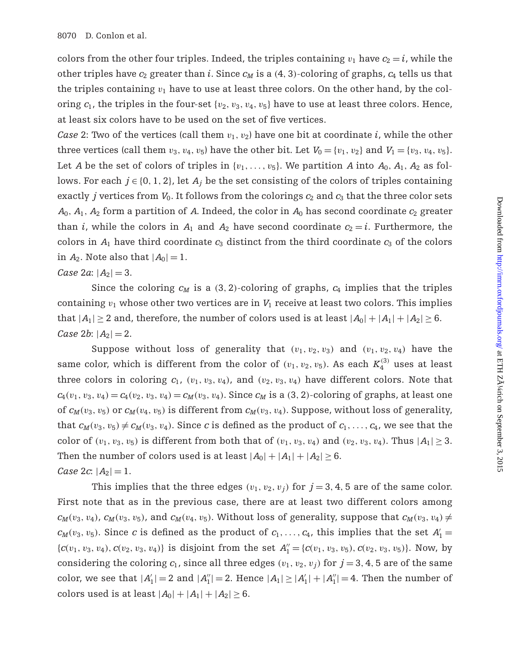colors from the other four triples. Indeed, the triples containing  $v_1$  have  $c_2 = i$ , while the other triples have  $c_2$  greater than *i*. Since  $c_M$  is a  $(4, 3)$ -coloring of graphs,  $c_4$  tells us that the triples containing  $v_1$  have to use at least three colors. On the other hand, by the coloring  $c_1$ , the triples in the four-set  $\{v_2, v_3, v_4, v_5\}$  have to use at least three colors. Hence, at least six colors have to be used on the set of five vertices.

*Case* 2: Two of the vertices (call them  $v_1, v_2$ ) have one bit at coordinate *i*, while the other three vertices (call them  $v_3$ ,  $v_4$ ,  $v_5$ ) have the other bit. Let  $V_0 = \{v_1, v_2\}$  and  $V_1 = \{v_3, v_4, v_5\}$ . Let *A* be the set of colors of triples in  $\{v_1, \ldots, v_5\}$ . We partition *A* into  $A_0$ ,  $A_1$ ,  $A_2$  as follows. For each  $j \in \{0, 1, 2\}$ , let  $A_j$  be the set consisting of the colors of triples containing exactly *j* vertices from  $V_0$ . It follows from the colorings  $c_2$  and  $c_3$  that the three color sets  $A_0$ ,  $A_1$ ,  $A_2$  form a partition of *A*. Indeed, the color in  $A_0$  has second coordinate  $c_2$  greater than *i*, while the colors in  $A_1$  and  $A_2$  have second coordinate  $c_2 = i$ . Furthermore, the colors in  $A_1$  have third coordinate  $c_3$  distinct from the third coordinate  $c_3$  of the colors in  $A_2$ . Note also that  $|A_0| = 1$ .

#### *Case* 2*a*:  $|A_2| = 3$ .

Since the coloring  $c_M$  is a (3, 2)-coloring of graphs,  $c_4$  implies that the triples containing  $v_1$  whose other two vertices are in  $V_1$  receive at least two colors. This implies that  $|A_1| \ge 2$  and, therefore, the number of colors used is at least  $|A_0| + |A_1| + |A_2| \ge 6$ . *Case* 2*b*:  $|A_2| = 2$ .

Suppose without loss of generality that  $(v_1, v_2, v_3)$  and  $(v_1, v_2, v_4)$  have the same color, which is different from the color of  $(v_1, v_2, v_5)$ . As each  $K_4^{(3)}$  uses at least three colors in coloring  $c_1$ ,  $(v_1, v_3, v_4)$ , and  $(v_2, v_3, v_4)$  have different colors. Note that  $c_4(v_1, v_3, v_4) = c_4(v_2, v_3, v_4) = c_M(v_3, v_4)$ . Since  $c_M$  is a (3, 2)-coloring of graphs, at least one of  $c_M(v_3, v_5)$  or  $c_M(v_4, v_5)$  is different from  $c_M(v_3, v_4)$ . Suppose, without loss of generality, that  $c_M(v_3, v_5) \neq c_M(v_3, v_4)$ . Since *c* is defined as the product of  $c_1, \ldots, c_4$ , we see that the color of  $(v_1, v_3, v_5)$  is different from both that of  $(v_1, v_3, v_4)$  and  $(v_2, v_3, v_4)$ . Thus  $|A_1| \geq 3$ . Then the number of colors used is at least  $|A_0|+|A_1|+|A_2|\geq 6$ . *Case* 2*c*:  $|A_2| = 1$ .

This implies that the three edges  $(v_1, v_2, v_j)$  for  $j = 3, 4, 5$  are of the same color. First note that as in the previous case, there are at least two different colors among  $c_M(v_3, v_4)$ ,  $c_M(v_3, v_5)$ , and  $c_M(v_4, v_5)$ . Without loss of generality, suppose that  $c_M(v_3, v_4) \neq$  $c_M(v_3, v_5)$ . Since *c* is defined as the product of  $c_1, \ldots, c_4$ , this implies that the set  $A'_1 =$  ${c(v_1, v_3, v_4), c(v_2, v_3, v_4)}$  is disjoint from the set  $A''_1 = {c(v_1, v_3, v_5), c(v_2, v_3, v_5)}$ . Now, by considering the coloring  $c_1$ , since all three edges  $(v_1, v_2, v_j)$  for  $j = 3, 4, 5$  are of the same color, we see that  $|A'_1| = 2$  and  $|A''_1| = 2$ . Hence  $|A_1| \ge |A'_1| + |A''_1| = 4$ . Then the number of colors used is at least  $|A_0| + |A_1| + |A_2| \ge 6$ .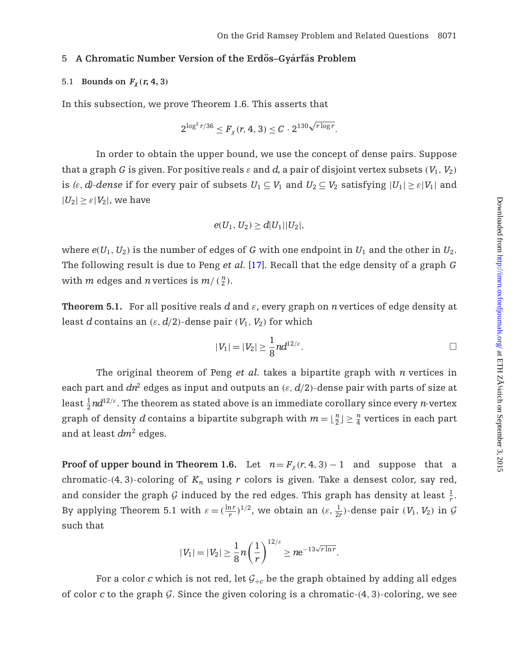#### 5 A Chromatic Number Version of the Erdős-Gyárfás Problem

# 5.1 **Bounds on**  $F_\chi(r, 4, 3)$

In this subsection, we prove Theorem 1.6. This asserts that

$$
2^{\log^2 r/36} \leq F_\chi(r, 4, 3) \leq C \cdot 2^{130 \sqrt{r \log r}}.
$$

In order to obtain the upper bound, we use the concept of dense pairs. Suppose that a graph *G* is given. For positive reals  $\varepsilon$  and  $d$ , a pair of disjoint vertex subsets  $(V_1, V_2)$ is  $(\varepsilon, d)$ -dense if for every pair of subsets  $U_1 \subseteq V_1$  and  $U_2 \subseteq V_2$  satisfying  $|U_1| \geq \varepsilon |V_1|$  and  $|U_2| \geq \varepsilon |V_2|$ , we have

$$
e(U_1, U_2) \ge d|U_1||U_2|,
$$

where  $e(U_1, U_2)$  is the number of edges of *G* with one endpoint in  $U_1$  and the other in  $U_2$ . The following result is due to Peng *et al.* [\[17\]](#page-32-3). Recall that the edge density of a graph *G* with *m* edges and *n* vertices is  $m/(n \choose 2)$ .

**Theorem 5.1.** For all positive reals  $d$  and  $\varepsilon$ , every graph on *n* vertices of edge density at least *d* contains an  $(\varepsilon, d/2)$ -dense pair  $(V_1, V_2)$  for which

$$
|V_1|=|V_2|\geq \frac{1}{8}nd^{12/\varepsilon}.
$$

The original theorem of Peng *et al.* takes a bipartite graph with *n* vertices in each part and  $dn^2$  edges as input and outputs an  $(\varepsilon, d/2)$ -dense pair with parts of size at least  $\frac{1}{2}nd^{12/\varepsilon}.$  The theorem as stated above is an immediate corollary since every *n*-vertex graph of density *d* contains a bipartite subgraph with  $m = \lfloor \frac{n}{2} \rfloor \geq \frac{n}{4}$  vertices in each part and at least *dm*<sup>2</sup> edges.

**Proof of upper bound in Theorem 1.6.** Let  $n = F_\gamma(r, 4, 3) - 1$  and suppose that a chromatic-(4, 3)-coloring of  $K_n$  using  $r$  colors is given. Take a densest color, say red, and consider the graph  $G$  induced by the red edges. This graph has density at least  $\frac{1}{r}$ . By applying Theorem 5.1 with  $\varepsilon = (\frac{\ln r}{r})^{1/2}$ , we obtain an  $(\varepsilon, \frac{1}{2r})$ -dense pair  $(V_1, V_2)$  in  $\mathcal G$ such that

$$
|V_1|=|V_2|\geq \frac{1}{8}n\bigg(\frac{1}{r}\bigg)^{12/\varepsilon}\geq n\mathrm{e}^{-13\sqrt{r\ln r}}.
$$

For a color *c* which is not red, let  $G_{+c}$  be the graph obtained by adding all edges of color  $c$  to the graph  $\mathcal G$ . Since the given coloring is a chromatic- $(4, 3)$ -coloring, we see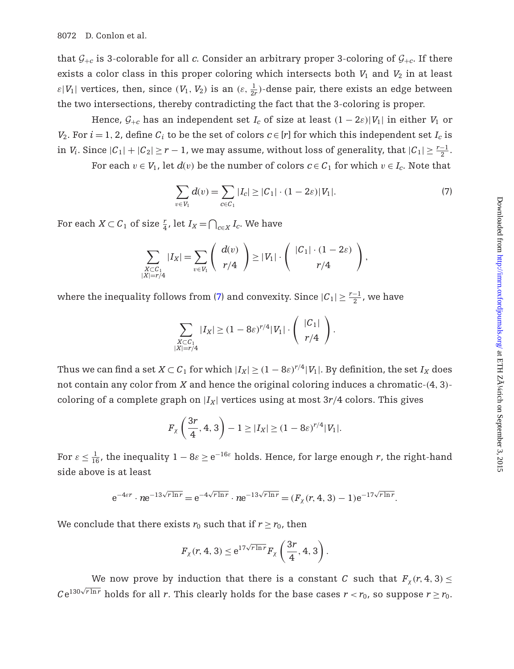that  $G_{+c}$  is 3-colorable for all *c*. Consider an arbitrary proper 3-coloring of  $G_{+c}$ . If there exists a color class in this proper coloring which intersects both  $V_1$  and  $V_2$  in at least  $\varepsilon|V_1|$  vertices, then, since  $(V_1, V_2)$  is an  $(\varepsilon, \frac{1}{2r})$ -dense pair, there exists an edge between the two intersections, thereby contradicting the fact that the 3-coloring is proper.

Hence,  $G_{+c}$  has an independent set  $I_c$  of size at least  $(1 - 2\varepsilon)|V_1|$  in either  $V_1$  or *V*<sub>2</sub>. For *i* = 1, 2, define  $C_i$  to be the set of colors  $c \in [r]$  for which this independent set  $I_c$  is in *V<sub>i</sub>*. Since  $|C_1| + |C_2| \ge r - 1$ , we may assume, without loss of generality, that  $|C_1| \ge \frac{r-1}{2}$ .

For each  $v \in V_1$ , let  $d(v)$  be the number of colors  $c \in C_1$  for which  $v \in I_c$ . Note that

<span id="page-20-0"></span>
$$
\sum_{v \in V_1} d(v) = \sum_{c \in C_1} |I_c| \ge |C_1| \cdot (1 - 2\varepsilon)|V_1|.
$$
 (7)

For each  $X \subset C_1$  of size  $\frac{r}{4}$ , let  $I_X = \bigcap_{c \in X} I_c$ . We have

$$
\sum_{\substack{X \subset C_1 \\ |X|=r/4}} |I_X| = \sum_{v \in V_1} \left( \begin{array}{c} d(v) \\ r/4 \end{array} \right) \ge |V_1| \cdot \left( \begin{array}{c} |C_1| \cdot (1-2\varepsilon) \\ r/4 \end{array} \right),
$$

where the inequality follows from [\(7\)](#page-20-0) and convexity. Since  $|{\cal C}_1|\geq \frac{r-1}{2}$ , we have

$$
\sum_{\substack{X \subset C_1 \\ |X|=r/4}} |I_X| \ge (1 - 8\varepsilon)^{r/4} |V_1| \cdot \left(\begin{array}{c} |C_1| \\ r/4 \end{array}\right).
$$

Thus we can find a set  $X \subset C_1$  for which  $|I_X| \ge (1 - 8\varepsilon)^{r/4} |V_1|$ . By definition, the set  $I_X$  does not contain any color from *X* and hence the original coloring induces a chromatic-(4, 3) coloring of a complete graph on  $|I_X|$  vertices using at most  $3r/4$  colors. This gives

$$
F_X\left(\frac{3r}{4}, 4, 3\right) - 1 \ge |I_X| \ge (1 - 8\varepsilon)^{r/4} |V_1|.
$$

For  $\varepsilon \leq \frac{1}{16}$ , the inequality  $1-8\varepsilon \geq \mathrm{e}^{-16\varepsilon}$  holds. Hence, for large enough  $r$ , the right-hand side above is at least

$$
e^{-4\epsilon r} \cdot n e^{-13\sqrt{r \ln r}} = e^{-4\sqrt{r \ln r}} \cdot n e^{-13\sqrt{r \ln r}} = (F_\chi(r, 4, 3) - 1) e^{-17\sqrt{r \ln r}}.
$$

We conclude that there exists  $r_0$  such that if  $r \ge r_0$ , then

$$
F_{\chi}(r,4,3) \leq e^{17\sqrt{r\ln r}} F_{\chi}\left(\frac{3r}{4},4,3\right).
$$

We now prove by induction that there is a constant *C* such that  $F_\chi(r, 4, 3) \leq$  $Ce^{130\sqrt{r\ln r}}$  holds for all *r*. This clearly holds for the base cases  $r < r_0$ , so suppose  $r \ge r_0$ .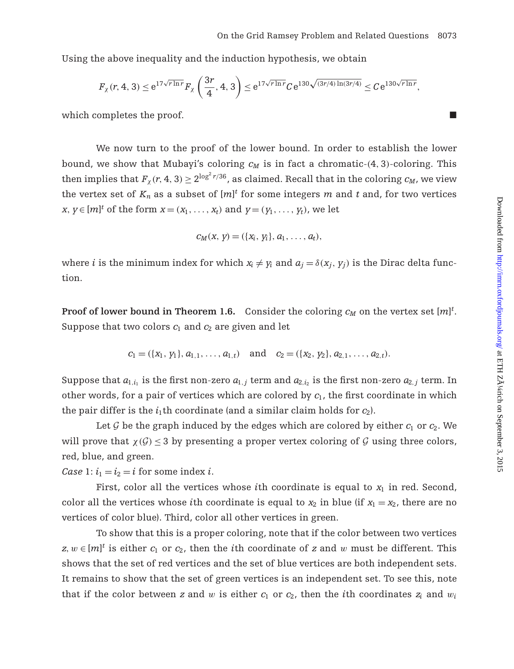Using the above inequality and the induction hypothesis, we obtain

$$
F_{\chi}(r, 4, 3) \leq e^{17\sqrt{r \ln r}} F_{\chi}\left(\frac{3r}{4}, 4, 3\right) \leq e^{17\sqrt{r \ln r}} C e^{130\sqrt{(3r/4) \ln(3r/4)}} \leq C e^{130\sqrt{r \ln r}},
$$

which completes the proof.

We now turn to the proof of the lower bound. In order to establish the lower bound, we show that Mubayi's coloring  $c_M$  is in fact a chromatic-(4, 3)-coloring. This then implies that  $F_\chi(r, 4, 3) \geq 2^{\log^2 r/36}$ , as claimed. Recall that in the coloring  $c_M$ , we view the vertex set of  $K_n$  as a subset of  $[m]^t$  for some integers  $m$  and  $t$  and, for two vertices *x*, *y*∈ [*m*]<sup>*t*</sup> of the form *x* = (*x*<sub>1</sub>, . . . , *x*<sub>*t*</sub>)</sub> and *y* = (*y*<sub>1</sub>, . . . , *y*<sub>*t*</sub>), we let

$$
c_M(x, y) = (\{x_i, y_i\}, a_1, \ldots, a_t),
$$

where *i* is the minimum index for which  $x_i \neq y_i$  and  $a_i = \delta(x_i, y_i)$  is the Dirac delta function.

**Proof of lower bound in Theorem 1.6.** Consider the coloring  $c_M$  on the vertex set  $[m]^t$ . Suppose that two colors  $c_1$  and  $c_2$  are given and let

$$
c_1 = (\{x_1, y_1\}, a_{1,1}, \ldots, a_{1,t})
$$
 and  $c_2 = (\{x_2, y_2\}, a_{2,1}, \ldots, a_{2,t}).$ 

Suppose that  $a_{1,i_1}$  is the first non-zero  $a_{1,j}$  term and  $a_{2,i_2}$  is the first non-zero  $a_{2,j}$  term. In other words, for a pair of vertices which are colored by  $c_1$ , the first coordinate in which the pair differ is the  $i_1$ <sup>th</sup> coordinate (and a similar claim holds for  $c_2$ ).

Let  $G$  be the graph induced by the edges which are colored by either  $c_1$  or  $c_2$ . We will prove that  $\chi(\mathcal{G}) \leq 3$  by presenting a proper vertex coloring of  $\mathcal G$  using three colors, red, blue, and green.

*Case* 1:  $i_1 = i_2 = i$  for some index *i*.

First, color all the vertices whose *i*th coordinate is equal to  $x_1$  in red. Second, color all the vertices whose *i*th coordinate is equal to  $x_2$  in blue (if  $x_1 = x_2$ , there are no vertices of color blue). Third, color all other vertices in green.

To show that this is a proper coloring, note that if the color between two vertices  $z, w \in [m]^t$  is either  $c_1$  or  $c_2$ , then the *i*th coordinate of  $z$  and  $w$  must be different. This shows that the set of red vertices and the set of blue vertices are both independent sets. It remains to show that the set of green vertices is an independent set. To see this, note that if the color between *z* and *w* is either  $c_1$  or  $c_2$ , then the *i*th coordinates  $z_i$  and  $w_i$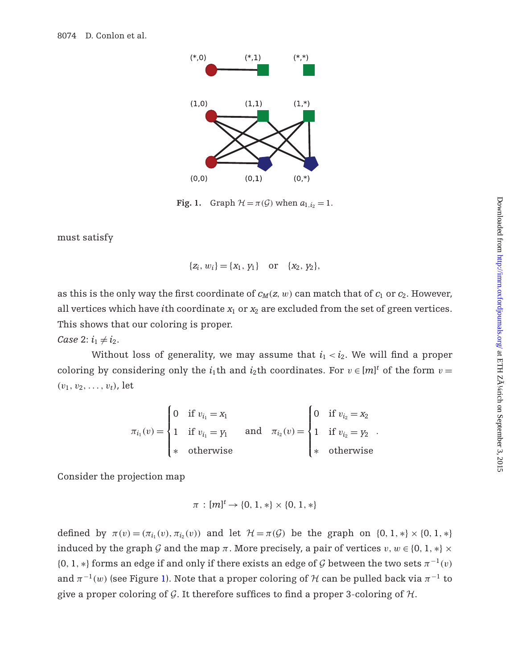

<span id="page-22-0"></span>**Fig. 1.** Graph  $\mathcal{H} = \pi(\mathcal{G})$  when  $a_{1,i_2} = 1$ .

must satisfy

$$
\{z_i, w_i\} = \{x_1, y_1\} \text{ or } \{x_2, y_2\},
$$

as this is the only way the first coordinate of  $c_M(z, w)$  can match that of  $c_1$  or  $c_2$ . However, all vertices which have *i*th coordinate  $x_1$  or  $x_2$  are excluded from the set of green vertices. This shows that our coloring is proper.

*Case* 2:  $i_1 \neq i_2$ .

Without loss of generality, we may assume that  $i_1 < i_2$ . We will find a proper coloring by considering only the  $i_1$ th and  $i_2$ th coordinates. For  $v \in [m]^t$  of the form  $v =$  $(v_1, v_2, \ldots, v_t)$ , let

$$
\pi_{i_1}(v) = \begin{cases}\n0 & \text{if } v_{i_1} = x_1 \\
1 & \text{if } v_{i_1} = y_1 \\
\text{*} & \text{otherwise}\n\end{cases} \quad \text{and} \quad \pi_{i_2}(v) = \begin{cases}\n0 & \text{if } v_{i_2} = x_2 \\
1 & \text{if } v_{i_2} = y_2 \\
\text{*} & \text{otherwise}\n\end{cases}.
$$

Consider the projection map

$$
\pi : [m]^t \to \{0, 1, *\} \times \{0, 1, *\}
$$

defined by  $\pi(v) = (\pi_{i_1}(v), \pi_{i_2}(v))$  and let  $\mathcal{H} = \pi(\mathcal{G})$  be the graph on  $\{0, 1, *\} \times \{0, 1, *\}$ induced by the graph *G* and the map  $\pi$ . More precisely, a pair of vertices  $v, w \in \{0, 1, *\} \times$  ${0, 1, *}$  forms an edge if and only if there exists an edge of *G* between the two sets  $\pi^{-1}(v)$ and  $\pi^{-1}(w)$  (see Figure [1\)](#page-22-0). Note that a proper coloring of *H* can be pulled back via  $\pi^{-1}$  to give a proper coloring of *G*. It therefore suffices to find a proper 3-coloring of *H*.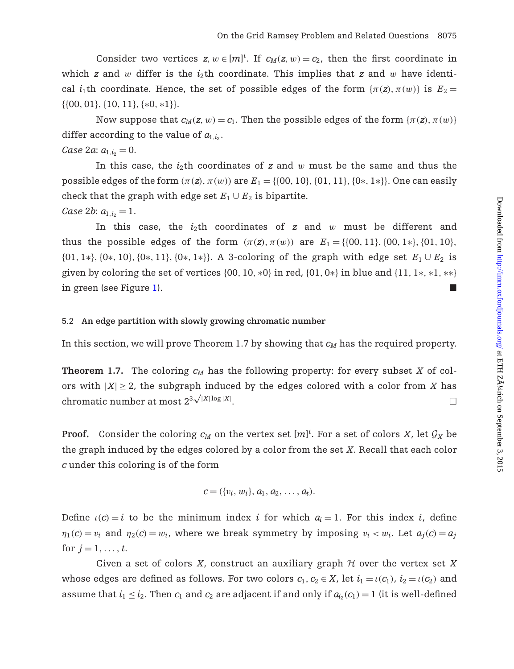Consider two vertices  $z, w \in [m]^t$ . If  $c_M(z, w) = c_2$ , then the first coordinate in which *z* and *w* differ is the  $i_2$ th coordinate. This implies that *z* and *w* have identical *i*<sub>1</sub>th coordinate. Hence, the set of possible edges of the form  $\{\pi(z), \pi(w)\}$  is  $E_2 =$ {{00, 01},{10, 11},{∗0, ∗1}}.

Now suppose that  $c_M(z, w) = c_1$ . Then the possible edges of the form  $\{\pi(z), \pi(w)\}$ differ according to the value of  $a_{1,i_2}$ .

*Case* 2*a*:  $a_{1,i_2} = 0$ .

In this case, the *i*2th coordinates of *z* and w must be the same and thus the possible edges of the form  $(\pi(z), \pi(w))$  are  $E_1 = \{(00, 10), (01, 11), (0*, 1*)\}$ . One can easily check that the graph with edge set  $E_1 \cup E_2$  is bipartite. *Case* 2*b*:  $a_{1,i} = 1$ .

In this case, the *i*2th coordinates of *z* and w must be different and thus the possible edges of the form  $(\pi(z), \pi(w))$  are  $E_1 = \{0, 11\}$ ,  $\{00, 1* \}$ ,  $\{01, 10\}$ , {01, 1∗},{0∗, 10},{0∗, 11},{0∗, 1∗}}. A 3-coloring of the graph with edge set *E*<sup>1</sup> ∪ *E*<sup>2</sup> is given by coloring the set of vertices  $\{00, 10, *0\}$  in red,  $\{01, 0* \}$  in blue and  $\{11, 1*, *1, ** \}$ in green (see Figure [1\)](#page-22-0).

## 5.2 **An edge partition with slowly growing chromatic number**

In this section, we will prove Theorem 1.7 by showing that  $c_M$  has the required property.

**Theorem 1.7.** The coloring  $c_M$  has the following property: for every subset *X* of colors with  $|X| \geq 2$ , the subgraph induced by the edges colored with a color from *X* has chromatic number at most  $2^{3\sqrt{|X|\log |X|}}$ . The contract of the contract of the contract of the contract of the contract of the contract of the contract of the contract of the contract of the contract of the contract of the contract of the contract of the contrac

**Proof.** Consider the coloring  $c_M$  on the vertex set  $[m]^t$ . For a set of colors *X*, let  $\mathcal{G}_X$  be the graph induced by the edges colored by a color from the set *X*. Recall that each color *c* under this coloring is of the form

$$
c = (\{v_i, w_i\}, a_1, a_2, \ldots, a_t).
$$

Define  $\iota(c) = i$  to be the minimum index *i* for which  $a_i = 1$ . For this index *i*, define  $\eta_1(c) = v_i$  and  $\eta_2(c) = w_i$ , where we break symmetry by imposing  $v_i < w_i$ . Let  $a_i(c) = a_i$ for  $j = 1, ..., t$ .

Given a set of colors *X*, construct an auxiliary graph *H* over the vertex set *X* whose edges are defined as follows. For two colors  $c_1, c_2 \in X$ , let  $i_1 = \iota(c_1)$ ,  $i_2 = \iota(c_2)$  and assume that  $i_1 \leq i_2$ . Then  $c_1$  and  $c_2$  are adjacent if and only if  $a_i$ ,  $(c_1) = 1$  (it is well-defined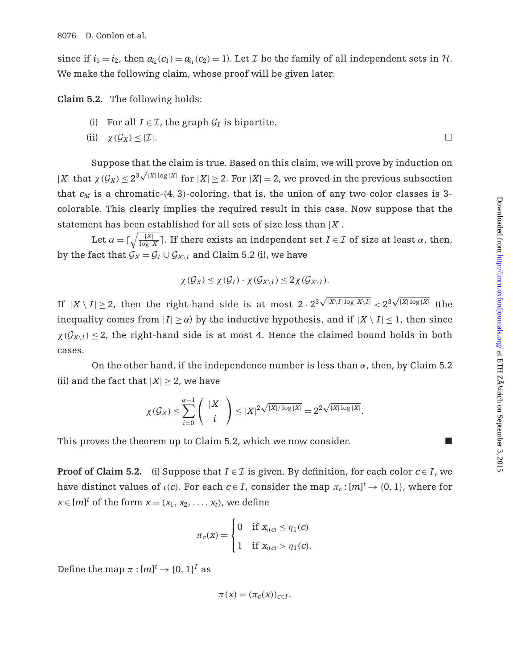since if  $i_1 = i_2$ , then  $a_{i_2}(c_1) = a_{i_1}(c_2) = 1$ . Let *I* be the family of all independent sets in *H*. We make the following claim, whose proof will be given later.

**Claim 5.2.** The following holds:

- (i) For all  $I \in \mathcal{I}$ , the graph  $\mathcal{G}_I$  is bipartite.
- (ii)  $\chi(G_X) \leq |I|$ .

Suppose that the claim is true. Based on this claim, we will prove by induction on  $|X|$  that  $\chi(G_X) \leq 2^{3\sqrt{|X|\log |X|}}$  for  $|X| \geq 2$ . For  $|X| = 2$ , we proved in the previous subsection that  $c_M$  is a chromatic-(4, 3)-coloring, that is, the union of any two color classes is 3colorable. This clearly implies the required result in this case. Now suppose that the statement has been established for all sets of size less than |*X*|.

Let  $\alpha = \lceil \sqrt{\frac{|X|}{\log |X|}} \rceil$ . If there exists an independent set  $I \in \mathcal{I}$  of size at least  $\alpha$ , then, by the fact that  $G_X = G_I \cup G_{X\setminus I}$  and Claim 5.2 (i), we have

$$
\chi(\mathcal{G}_X) \leq \chi(\mathcal{G}_I) \cdot \chi(\mathcal{G}_{X \setminus I}) \leq 2\chi(\mathcal{G}_{X \setminus I}).
$$

If  $|X \setminus I| \geq 2$ , then the right-hand side is at most  $2 \cdot 2^{3\sqrt{|X \setminus I| \log |X \setminus I|}} < 2^{3\sqrt{|X| \log |X|}}$  (the inequality comes from  $|I| \ge \alpha$ ) by the inductive hypothesis, and if  $|X \setminus I| \le 1$ , then since  $\chi(\mathcal{G}_{X\setminus I}) \leq 2$ , the right-hand side is at most 4. Hence the claimed bound holds in both cases.

On the other hand, if the independence number is less than  $\alpha$ , then, by Claim 5.2 (ii) and the fact that  $|X| > 2$ , we have

$$
\chi(\mathcal{G}_X) \leq \sum_{i=0}^{\alpha-1} \binom{|X|}{i} \leq |X|^{2\sqrt{|X|/\log |X|}} = 2^{2\sqrt{|X| \log |X|}}.
$$

This proves the theorem up to Claim 5.2, which we now consider.

**Proof of Claim 5.2.** (i) Suppose that  $I \in \mathcal{I}$  is given. By definition, for each color  $c \in I$ , we have distinct values of  $\iota(c)$ . For each  $c \in I$ , consider the map  $\pi_c : [m]^t \to \{0, 1\}$ , where for  $x \in [m]^t$  of the form  $x = (x_1, x_2, \ldots, x_t)$ , we define

$$
\pi_c(x) = \begin{cases} 0 & \text{if } x_{i(c)} \le \eta_1(c) \\ 1 & \text{if } x_{i(c)} > \eta_1(c). \end{cases}
$$

Define the map  $\pi : [m]^t \to \{0, 1\}^I$  as

$$
\pi(x) = (\pi_c(x))_{c \in I}.
$$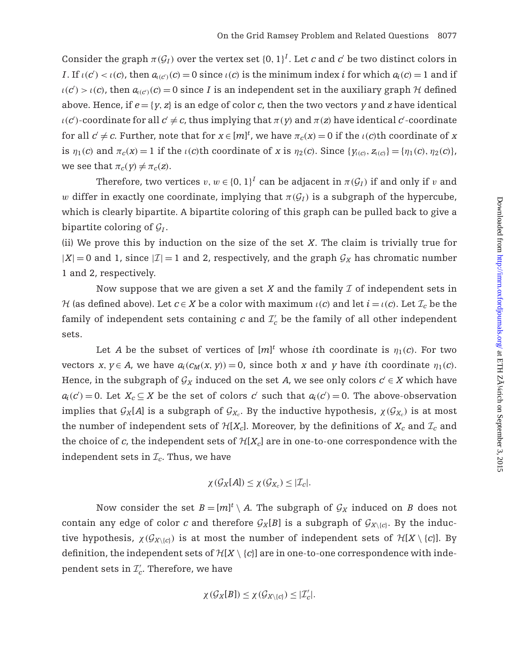Consider the graph  $\pi(\mathcal{G}_I)$  over the vertex set  $\{0, 1\}^I$ . Let *c* and *c'* be two distinct colors in *I*. If  $\iota(c') < \iota(c)$ , then  $a_{\iota(c')}(c) = 0$  since  $\iota(c)$  is the minimum index *i* for which  $a_i(c) = 1$  and if  $u(c') > u(c)$ , then  $a_{u(c)}(c) = 0$  since *I* is an independent set in the auxiliary graph  $H$  defined above. Hence, if  $e = \{y, z\}$  is an edge of color *c*, then the two vectors *y* and *z* have identical  $\iota(c')$ -coordinate for all  $c' \neq c$ , thus implying that  $\pi(y)$  and  $\pi(z)$  have identical  $c'$ -coordinate for all  $c' \neq c$ . Further, note that for  $x \in [m]^t$ , we have  $\pi_c(x) = 0$  if the  $\iota(c)$ th coordinate of *x* is  $\eta_1(c)$  and  $\pi_c(x) = 1$  if the  $\iota(c)$ th coordinate of *x* is  $\eta_2(c)$ . Since  $\{\gamma_{\iota(c)}, z_{\iota(c)}\} = \{\eta_1(c), \eta_2(c)\},\$ we see that  $\pi_c(y) \neq \pi_c(z)$ .

Therefore, two vertices  $v, w \in \{0, 1\}^I$  can be adjacent in  $\pi(\mathcal{G}_I)$  if and only if v and w differ in exactly one coordinate, implying that  $\pi(G_I)$  is a subgraph of the hypercube, which is clearly bipartite. A bipartite coloring of this graph can be pulled back to give a bipartite coloring of  $\mathcal{G}_I$ .

(ii) We prove this by induction on the size of the set *X*. The claim is trivially true for  $|X| = 0$  and 1, since  $|Z| = 1$  and 2, respectively, and the graph  $\mathcal{G}_X$  has chromatic number 1 and 2, respectively.

Now suppose that we are given a set *X* and the family *I* of independent sets in *H* (as defined above). Let  $c \in X$  be a color with maximum  $\iota(c)$  and let  $i = \iota(c)$ . Let  $\mathcal{I}_c$  be the family of independent sets containing  $c$  and  $\mathcal{I}'_c$  be the family of all other independent sets.

Let *A* be the subset of vertices of  $[m]^t$  whose *i*th coordinate is  $\eta_1(c)$ . For two vectors *x*,  $y \in A$ , we have  $a_i(c_M(x, y)) = 0$ , since both *x* and *y* have *i*th coordinate  $\eta_1(c)$ . Hence, in the subgraph of  $\mathcal{G}_X$  induced on the set *A*, we see only colors  $c' \in X$  which have  $a_i(c') = 0$ . Let  $X_c \subseteq X$  be the set of colors *c*' such that  $a_i(c') = 0$ . The above-observation implies that  $G_X[A]$  is a subgraph of  $G_{X_c}$ . By the inductive hypothesis,  $\chi(G_{X_c})$  is at most the number of independent sets of  $H[X_c]$ . Moreover, by the definitions of  $X_c$  and  $\mathcal{I}_c$  and the choice of  $c$ , the independent sets of  $H[X_c]$  are in one-to-one correspondence with the independent sets in  $\mathcal{I}_c$ . Thus, we have

$$
\chi(\mathcal{G}_X[A]) \leq \chi(\mathcal{G}_{X_c}) \leq |\mathcal{I}_c|.
$$

Now consider the set  $B = [m]^t \setminus A$ . The subgraph of  $\mathcal{G}_X$  induced on *B* does not contain any edge of color *c* and therefore  $G_X[B]$  is a subgraph of  $G_{X\setminus\{c\}}$ . By the inductive hypothesis,  $\chi(G_{X\setminus{c}})$  is at most the number of independent sets of  $\mathcal{H}[X\setminus{c}]$ . By definition, the independent sets of  $\mathcal{H}[X \setminus \{c\}]$  are in one-to-one correspondence with independent sets in  $\mathcal{I}'_c$ . Therefore, we have

$$
\chi(\mathcal{G}_X[B]) \leq \chi(\mathcal{G}_{X \setminus \{c\}}) \leq |\mathcal{I}'_c|.
$$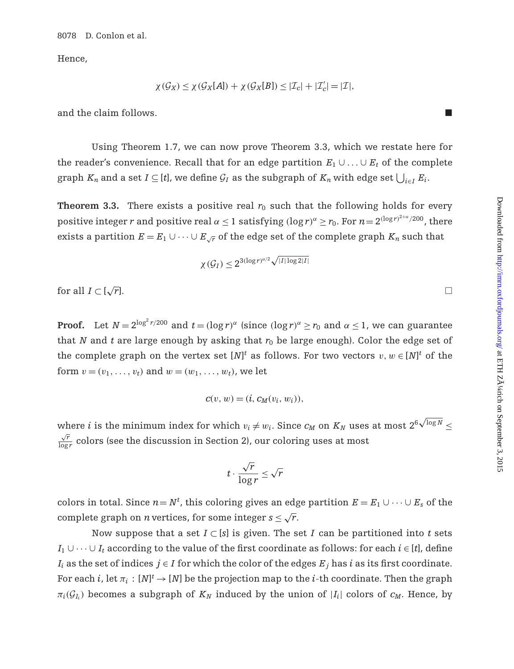Hence,

$$
\chi(\mathcal{G}_X) \leq \chi(\mathcal{G}_X[A]) + \chi(\mathcal{G}_X[B]) \leq |\mathcal{I}_c| + |\mathcal{I}'_c| = |\mathcal{I}|,
$$

and the claim follows.

Using Theorem 1.7, we can now prove Theorem 3.3, which we restate here for the reader's convenience. Recall that for an edge partition  $E_1 \cup ... \cup E_t$  of the complete graph  $K_n$  and a set  $I \subseteq [t]$ , we define  $\mathcal{G}_I$  as the subgraph of  $K_n$  with edge set  $\bigcup_{i \in I} E_i$ .

**Theorem 3.3.** There exists a positive real  $r_0$  such that the following holds for every positive integer *r* and positive real  $\alpha \le 1$  satisfying  $(\log r)^{\alpha} \ge r_0$ . For  $n = 2^{(\log r)^{2+\alpha}/200}$ , there exists a partition  $E = E_1 \cup \cdots \cup E_{\sqrt{r}}$  of the edge set of the complete graph  $K_n$  such that

$$
\chi(\mathcal{G}_I) \leq 2^{3(\log r)^{\alpha/2}\sqrt{|I|\log 2|I|}}
$$

for all  $I \subset [\sqrt{r}]$ .  $\sqrt{r}$ ].

**Proof.** Let  $N = 2^{\log^2 r/200}$  and  $t = (\log r)^{\alpha}$  (since  $(\log r)^{\alpha} \ge r_0$  and  $\alpha \le 1$ , we can guarantee that *N* and *t* are large enough by asking that  $r_0$  be large enough). Color the edge set of the complete graph on the vertex set  $[N]^t$  as follows. For two vectors  $v, w \in [N]^t$  of the form  $v = (v_1, ..., v_t)$  and  $w = (w_1, ..., w_t)$ , we let

$$
c(v, w) = (i, c_M(v_i, w_i)),
$$

where  $i$  is the minimum index for which  $v_i \neq w_i.$  Since  $c_M$  on  $K_N$  uses at most  $2^6 \sqrt{\log N} \leq$  $\frac{\sqrt{r}}{\log r}$  colors (see the discussion in Section 2), our coloring uses at most

$$
t \cdot \frac{\sqrt{r}}{\log r} \le \sqrt{r}
$$

colors in total. Since  $n = N^t$ , this coloring gives an edge partition  $E = E_1 \cup \cdots \cup E_s$  of the complete graph on *n* vertices, for some integer  $s \leq \sqrt{r}$ .

Now suppose that a set  $I \subset [s]$  is given. The set *I* can be partitioned into *t* sets *I*<sub>1</sub> ∪ $\cdots$  ∪ *I*<sub>t</sub> according to the value of the first coordinate as follows: for each *i* ∈ [*t*], define *I<sub>i</sub>* as the set of indices  $j \in I$  for which the color of the edges  $E_j$  has *i* as its first coordinate. For each  $i$ , let  $\pi_i: [N]^t \to [N]$  be the projection map to the  $i$ -th coordinate. Then the graph  $\pi_i(\mathcal{G}_{I_i})$  becomes a subgraph of  $K_N$  induced by the union of  $|I_i|$  colors of  $c_M$ . Hence, by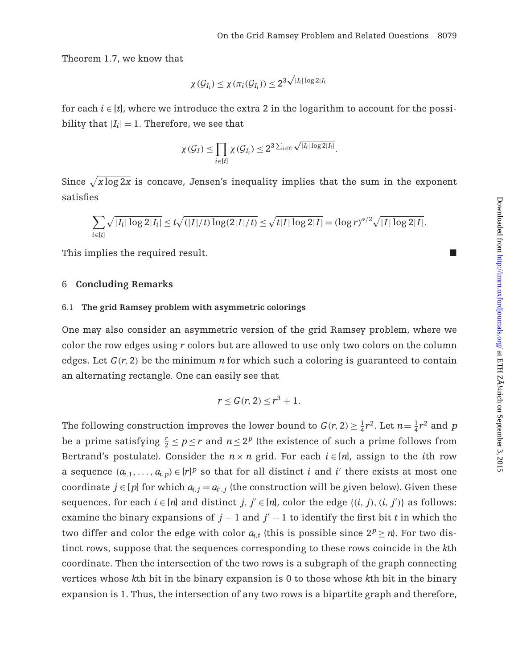Theorem 1.7, we know that

$$
\chi(\mathcal{G}_{I_i}) \leq \chi(\pi_i(\mathcal{G}_{I_i})) \leq 2^{3\sqrt{|I_i|\log 2|I_i|}}
$$

for each  $i \in [t]$ , where we introduce the extra 2 in the logarithm to account for the possibility that  $|I_i| = 1$ . Therefore, we see that

$$
\chi(\mathcal{G}_I) \leq \prod_{i \in [t]} \chi(\mathcal{G}_{I_i}) \leq 2^{3\sum_{i \in [t]} \sqrt{|I_i| \log 2|I_i|}}.
$$

Since  $\sqrt{x \log 2x}$  is concave, Jensen's inequality implies that the sum in the exponent satisfies

$$
\sum_{i \in [t]} \sqrt{|I_i| \log 2|I_i|} \le t \sqrt{(|I|/t) \log (2|I|/t)} \le \sqrt{t|I| \log 2|I|} = (\log r)^{\alpha/2} \sqrt{|I| \log 2|I|}.
$$

This implies the required result.

#### 6 **Concluding Remarks**

#### 6.1 **The grid Ramsey problem with asymmetric colorings**

One may also consider an asymmetric version of the grid Ramsey problem, where we color the row edges using *r* colors but are allowed to use only two colors on the column edges. Let  $G(r, 2)$  be the minimum *n* for which such a coloring is guaranteed to contain an alternating rectangle. One can easily see that

$$
r \leq G(r, 2) \leq r^3 + 1.
$$

The following construction improves the lower bound to  $G(r, 2) \geq \frac{1}{4}r^2$ . Let  $n = \frac{1}{4}r^2$  and  $p$ be a prime satisfying  $\frac{r}{2} \leq p \leq r$  and  $n \leq 2^p$  (the existence of such a prime follows from Bertrand's postulate). Consider the  $n \times n$  grid. For each  $i \in [n]$ , assign to the *i*th row a sequence  $(a_{i,1},..., a_{i,p}) \in [r]^p$  so that for all distinct *i* and *i*' there exists at most one coordinate  $j \in [p]$  for which  $a_{i,j} = a_{i',j}$  (the construction will be given below). Given these sequences, for each  $i \in [n]$  and distinct  $j, j' \in [n]$ , color the edge  $\{(i, j), (i, j')\}$  as follows: examine the binary expansions of  $j - 1$  and  $j' - 1$  to identify the first bit *t* in which the two differ and color the edge with color  $a_{i,t}$  (this is possible since  $2^p \ge n$ ). For two distinct rows, suppose that the sequences corresponding to these rows coincide in the *k*th coordinate. Then the intersection of the two rows is a subgraph of the graph connecting vertices whose *k*th bit in the binary expansion is 0 to those whose *k*th bit in the binary expansion is 1. Thus, the intersection of any two rows is a bipartite graph and therefore,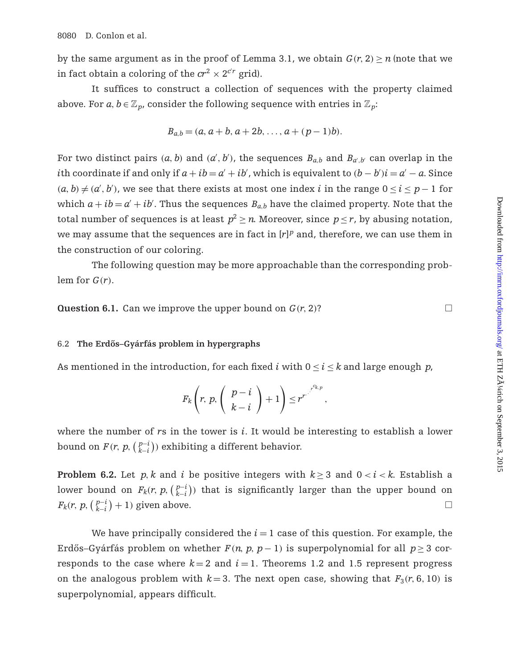by the same argument as in the proof of Lemma 3.1, we obtain  $G(r, 2) \ge n$  (note that we in fact obtain a coloring of the  $\mathit{cr}^{2} \times 2^{\mathit{cr}}$  grid).

It suffices to construct a collection of sequences with the property claimed above. For  $a, b \in \mathbb{Z}_p$ , consider the following sequence with entries in  $\mathbb{Z}_p$ :

$$
B_{a,b} = (a, a+b, a+2b, \ldots, a+(p-1)b).
$$

For two distinct pairs  $(a, b)$  and  $(a', b')$ , the sequences  $B_{a,b}$  and  $B_{a',b'}$  can overlap in the *i*th coordinate if and only if  $a + ib = a' + ib'$ , which is equivalent to  $(b - b')i = a' - a$ . Since  $(a, b) \neq (a', b')$ , we see that there exists at most one index *i* in the range  $0 \leq i \leq p-1$  for which  $a + ib = a' + ib'$ . Thus the sequences  $B_{a,b}$  have the claimed property. Note that the total number of sequences is at least  $p^2 \ge n$ . Moreover, since  $p \le r$ , by abusing notation, we may assume that the sequences are in fact in [r]<sup>p</sup> and, therefore, we can use them in the construction of our coloring.

The following question may be more approachable than the corresponding problem for  $G(r)$ .

**Question 6.1.** Can we improve the upper bound on  $G(r, 2)$ ?

#### 6.2 **The Erdos–Gy ˝ arf ´ as problem in hypergraphs ´**

As mentioned in the introduction, for each fixed *i* with  $0 \le i \le k$  and large enough *p*,

$$
F_k\left(r, p, \left(\begin{array}{c}p-i\\k-i\end{array}\right)+1\right)\leq r^{r^{-\frac{r^{c_{k,p}}}{\cdots}}},
$$

where the number of *r*s in the tower is *i*. It would be interesting to establish a lower bound on  $F(r, p, \binom{p-i}{k-i})$  exhibiting a different behavior.

**Problem 6.2.** Let *p*, *k* and *i* be positive integers with  $k \geq 3$  and  $0 \lt i \lt k$ . Establish a lower bound on  $F_k(r, p, \binom{p-i}{k-i})$  that is significantly larger than the upper bound on  $F_k(r, p, \left(\frac{p-i}{k-i}\right) + 1)$  given above.  $\Box$ 

We have principally considered the  $i = 1$  case of this question. For example, the Erdős–Gyárfás problem on whether  $F(n, p, p-1)$  is superpolynomial for all  $p \geq 3$  corresponds to the case where  $k=2$  and  $i=1$ . Theorems 1.2 and 1.5 represent progress on the analogous problem with  $k=3$ . The next open case, showing that  $F_3(r, 6, 10)$  is superpolynomial, appears difficult.

 $\Box$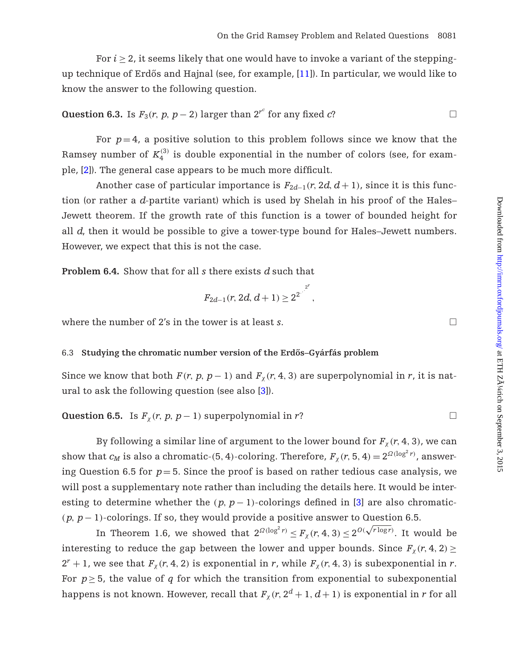For  $i \geq 2$ , it seems likely that one would have to invoke a variant of the steppingup technique of Erdős and Hajnal (see, for example,  $[11]$  $[11]$  $[11]$ ). In particular, we would like to know the answer to the following question.

**Question 6.3.** Is 
$$
F_3(r, p, p-2)
$$
 larger than  $2^{r^c}$  for any fixed *c*?

For  $p=4$ , a positive solution to this problem follows since we know that the Ramsey number of  $K_4^{(3)}$  is double exponential in the number of colors (see, for example, [\[2\]](#page-31-12)). The general case appears to be much more difficult.

Another case of particular importance is  $F_{2d-1}(r, 2d, d+1)$ , since it is this function (or rather a *d*-partite variant) which is used by Shelah in his proof of the Hales– Jewett theorem. If the growth rate of this function is a tower of bounded height for all *d*, then it would be possible to give a tower-type bound for Hales–Jewett numbers. However, we expect that this is not the case.

**Problem 6.4.** Show that for all *s* there exists *d* such that

$$
F_{2d-1}(r, 2d, d+1) \ge 2^{2^{r^2}}.
$$

where the number of 2's in the tower is at least *s*.

#### 6.3 **Studying the chromatic number version of the Erdos–Gy ˝ arf ´ as problem ´**

Since we know that both  $F(r, p, p-1)$  and  $F<sub>y</sub>(r, 4, 3)$  are superpolynomial in *r*, it is natural to ask the following question (see also [\[3](#page-31-10)]).

**Question 6.5.** Is  $F_\chi(r, p, p − 1)$  superpolynomial in *r*?  $\Box$ 

By following a similar line of argument to the lower bound for  $F_\chi(r, 4, 3)$ , we can show that  $c_M$  is also a chromatic-(5, 4)-coloring. Therefore,  $F_\chi(r,5,4)=2^{\Omega(\log^2 r)}$ , answering Question 6.5 for  $p=5$ . Since the proof is based on rather tedious case analysis, we will post a supplementary note rather than including the details here. It would be interesting to determine whether the  $(p, p-1)$ -colorings defined in [\[3\]](#page-31-10) are also chromatic-(*p*, *p*− 1)-colorings. If so, they would provide a positive answer to Question 6.5.

In Theorem 1.6, we showed that  $2^{\Omega(\log^2 r)} \le F_\chi(r, 4, 3) \le 2^{O(\sqrt{r \log r})}$ . It would be interesting to reduce the gap between the lower and upper bounds. Since  $F_\chi(r, 4, 2) \geq$  $2^r + 1$ , we see that  $F_\chi(r, 4, 2)$  is exponential in *r*, while  $F_\chi(r, 4, 3)$  is subexponential in *r*. For  $p \geq 5$ , the value of *q* for which the transition from exponential to subexponential happens is not known. However, recall that  $F_\chi(r, 2^d + 1, d + 1)$  is exponential in *r* for all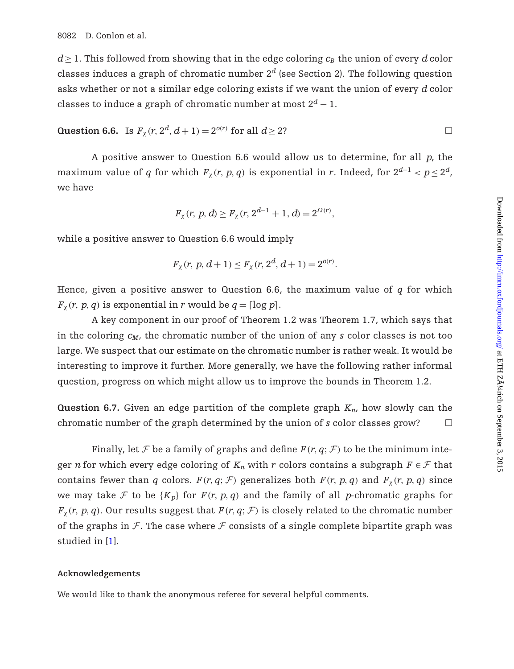$d \geq 1$ . This followed from showing that in the edge coloring  $c_B$  the union of every *d* color classes induces a graph of chromatic number  $2^d$  (see Section 2). The following question asks whether or not a similar edge coloring exists if we want the union of every *d* color classes to induce a graph of chromatic number at most  $2^d - 1$ .

**Question 6.6.** Is 
$$
F_{\chi}(r, 2^d, d+1) = 2^{o(r)}
$$
 for all  $d \ge 2$ ?

A positive answer to Question 6.6 would allow us to determine, for all *p*, the maximum value of *q* for which  $F_\chi(r, p, q)$  is exponential in *r*. Indeed, for  $2^{d-1} < p \leq 2^d$ , we have

$$
F_{\chi}(r, p, d) \ge F_{\chi}(r, 2^{d-1} + 1, d) = 2^{\Omega(r)},
$$

while a positive answer to Question 6.6 would imply

$$
F_{\chi}(r, p, d+1) \le F_{\chi}(r, 2^d, d+1) = 2^{o(r)}.
$$

Hence, given a positive answer to Question 6.6, the maximum value of *q* for which  $F_{\gamma}(r, p, q)$  is exponential in *r* would be  $q = \lceil \log p \rceil$ .

A key component in our proof of Theorem 1.2 was Theorem 1.7, which says that in the coloring *cM*, the chromatic number of the union of any *s* color classes is not too large. We suspect that our estimate on the chromatic number is rather weak. It would be interesting to improve it further. More generally, we have the following rather informal question, progress on which might allow us to improve the bounds in Theorem 1.2.

**Question 6.7.** Given an edge partition of the complete graph *Kn*, how slowly can the chromatic number of the graph determined by the union of  $s$  color classes grow?  $\Box$ 

Finally, let *F* be a family of graphs and define  $F(r, q; \mathcal{F})$  to be the minimum integer *n* for which every edge coloring of  $K_n$  with *r* colors contains a subgraph  $F \in \mathcal{F}$  that contains fewer than *q* colors. *F*(*r*, *q*; *F*) generalizes both *F*(*r*, *p*, *q*) and *F*<sub> $\chi$ </sub>(*r*, *p*, *q*) since we may take *F* to be  ${K_p}$  for  $F(r, p, q)$  and the family of all *p*-chromatic graphs for  $F_{\gamma}(r, p, q)$ . Our results suggest that  $F(r, q; \mathcal{F})$  is closely related to the chromatic number of the graphs in  $F$ . The case where  $F$  consists of a single complete bipartite graph was studied in [\[1](#page-31-13)].

#### **Acknowledgements**

We would like to thank the anonymous referee for several helpful comments.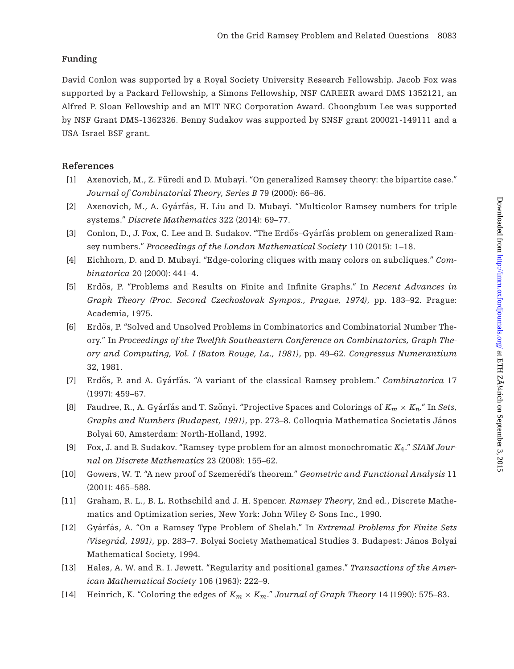# **Funding**

David Conlon was supported by a Royal Society University Research Fellowship. Jacob Fox was supported by a Packard Fellowship, a Simons Fellowship, NSF CAREER award DMS 1352121, an Alfred P. Sloan Fellowship and an MIT NEC Corporation Award. Choongbum Lee was supported by NSF Grant DMS-1362326. Benny Sudakov was supported by SNSF grant 200021-149111 and a USA-Israel BSF grant.

# **References**

- <span id="page-31-13"></span>[1] Axenovich, M., Z. Furedi and D. Mubayi. "On generalized Ramsey theory: the bipartite case." ¨ *Journal of Combinatorial Theory, Series B* 79 (2000): 66–86.
- <span id="page-31-12"></span>[2] Axenovich, M., A. Gyárfás, H. Liu and D. Mubayi. "Multicolor Ramsey numbers for triple systems." *Discrete Mathematics* 322 (2014): 69–77.
- <span id="page-31-10"></span>[3] Conlon, D., J. Fox, C. Lee and B. Sudakov. "The Erdős-Gyárfás problem on generalized Ramsey numbers." *Proceedings of the London Mathematical Society* 110 (2015): 1–18.
- <span id="page-31-9"></span>[4] Eichhorn, D. and D. Mubayi. "Edge-coloring cliques with many colors on subcliques." *Combinatorica* 20 (2000): 441–4.
- <span id="page-31-6"></span>[5] Erdős, P. "Problems and Results on Finite and Infinite Graphs." In *Recent Advances in Graph Theory (Proc. Second Czechoslovak Sympos., Prague, 1974)*, pp. 183–92. Prague: Academia, 1975.
- <span id="page-31-7"></span>[6] Erdős, P. "Solved and Unsolved Problems in Combinatorics and Combinatorial Number Theory." In *Proceedings of the Twelfth Southeastern Conference on Combinatorics, Graph Theory and Computing, Vol. I (Baton Rouge, La., 1981)*, pp. 49–62. *Congressus Numerantium* 32, 1981.
- <span id="page-31-8"></span>[7] Erdős, P. and A. Gyárfás. "A variant of the classical Ramsey problem." *Combinatorica* 17 (1997): 459–67.
- <span id="page-31-5"></span>[8] Faudree, R., A. Gyárfás and T. Szőnyi. "Projective Spaces and Colorings of  $K_m \times K_n$ ." In *Sets*, *Graphs and Numbers (Budapest, 1991)*, pp. 273–8. Colloquia Mathematica Societatis Janos ´ Bolyai 60, Amsterdam: North-Holland, 1992.
- <span id="page-31-11"></span>[9] Fox, J. and B. Sudakov. "Ramsey-type problem for an almost monochromatic *K*4." *SIAM Journal on Discrete Mathematics* 23 (2008): 155–62.
- <span id="page-31-2"></span>[10] Gowers, W. T. "A new proof of Szemeredi's theorem." ´ *Geometric and Functional Analysis* 11 (2001): 465–588.
- <span id="page-31-1"></span>[11] Graham, R. L., B. L. Rothschild and J. H. Spencer. *Ramsey Theory*, 2nd ed., Discrete Mathematics and Optimization series, New York: John Wiley & Sons Inc., 1990.
- <span id="page-31-3"></span>[12] Gyárfás, A. "On a Ramsey Type Problem of Shelah." In *Extremal Problems for Finite Sets (Visegrad, 1991) ´* , pp. 283–7. Bolyai Society Mathematical Studies 3. Budapest: Janos Bolyai ´ Mathematical Society, 1994.
- <span id="page-31-0"></span>[13] Hales, A. W. and R. I. Jewett. "Regularity and positional games." *Transactions of the American Mathematical Society* 106 (1963): 222–9.
- <span id="page-31-4"></span>[14] Heinrich, K. "Coloring the edges of  $K_m \times K_m$ ." *Journal of Graph Theory* 14 (1990): 575–83.